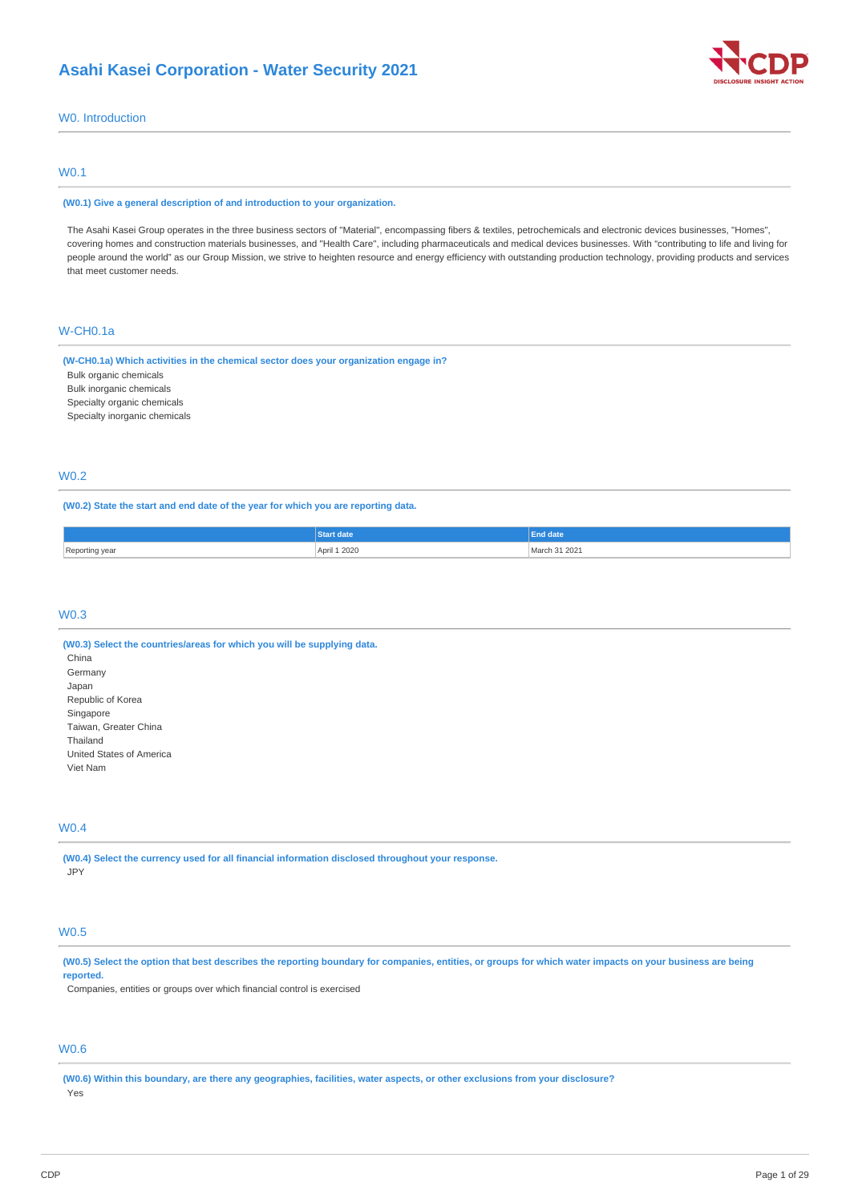

# W0. Introduction

# W0.1

#### **(W0.1) Give a general description of and introduction to your organization.**

The Asahi Kasei Group operates in the three business sectors of "Material", encompassing fibers & textiles, petrochemicals and electronic devices businesses, "Homes", covering homes and construction materials businesses, and "Health Care", including pharmaceuticals and medical devices businesses. With "contributing to life and living for people around the world" as our Group Mission, we strive to heighten resource and energy efficiency with outstanding production technology, providing products and services that meet customer needs.

# W-CH0.1a

**(W-CH0.1a) Which activities in the chemical sector does your organization engage in?**

Bulk organic chemicals

Bulk inorganic chemicals

Specialty organic chemicals

Specialty inorganic chemicals

# W0.2

# **(W0.2) State the start and end date of the year for which you are reporting data.**

|                | <b>Start date</b>                | date          |
|----------------|----------------------------------|---------------|
| Reporting year | April 1 2020<br>. <del>.</del> . | March 31 2021 |

# W0.3

**(W0.3) Select the countries/areas for which you will be supplying data.** China Germany Japan Republic of Korea Singapore Taiwan, Greater China Thailand United States of America Viet Nam

### W0.4

**(W0.4) Select the currency used for all financial information disclosed throughout your response.** JPY

# W0.5

(W0.5) Select the option that best describes the reporting boundary for companies, entities, or groups for which water impacts on your business are being **reported.**

Companies, entities or groups over which financial control is exercised

# W0.6

(W0.6) Within this boundary, are there any geographies, facilities, water aspects, or other exclusions from your disclosure? Yes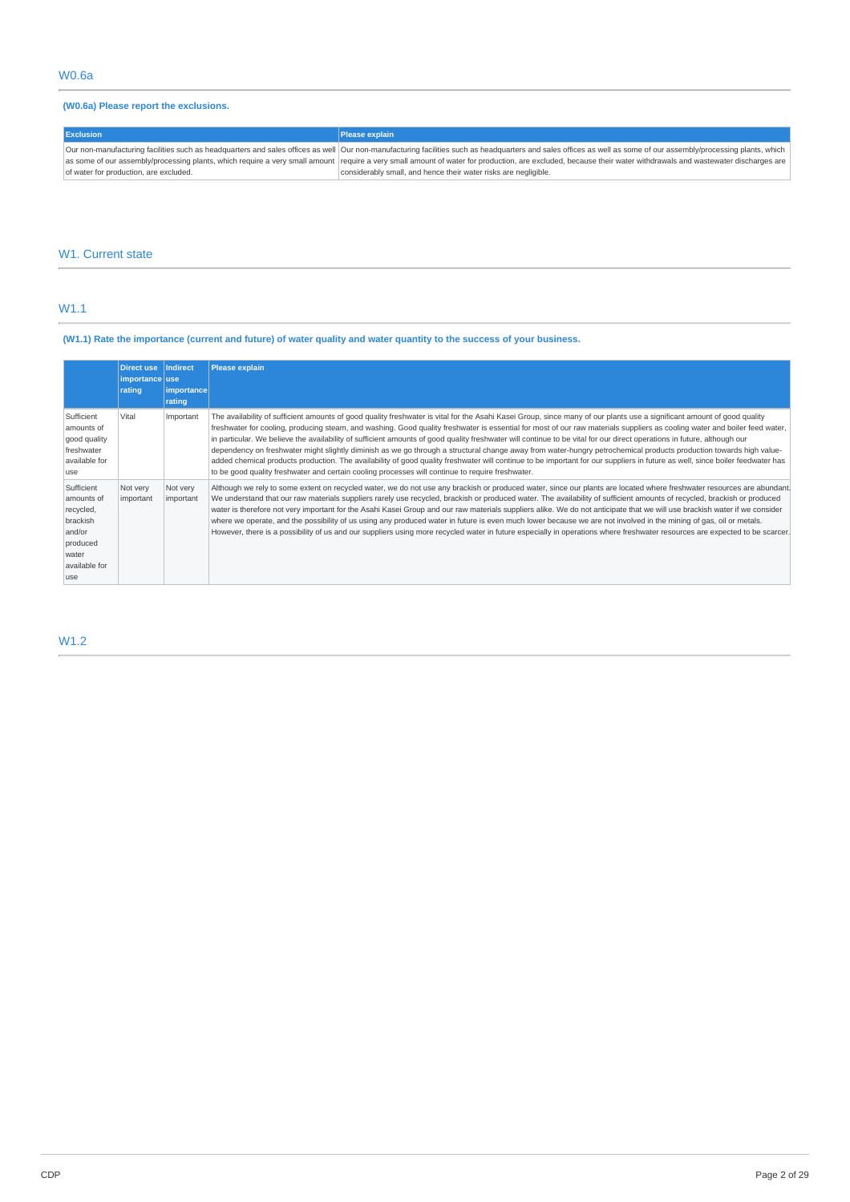# **(W0.6a) Please report the exclusions.**

| <b>Exclusion</b>                       | <b>Please explain</b>                                                                                                                                                                                             |
|----------------------------------------|-------------------------------------------------------------------------------------------------------------------------------------------------------------------------------------------------------------------|
|                                        | Our non-manufacturing facilities such as headquarters and sales offices as well  Our non-manufacturing facilities such as headquarters and sales offices as well as some of our assembly/processing plants, which |
|                                        | as some of our assembly/processing plants, which require a very small amount   require a very small amount of water for production, are excluded, because their water withdrawals and wastewater discharges are   |
| of water for production, are excluded. | considerably small, and hence their water risks are negligible.                                                                                                                                                   |

# W1. Current state

# W1.1

# (W1.1) Rate the importance (current and future) of water quality and water quantity to the success of your business.

|                                                                                                           | <b>Direct use</b><br>importance use<br>rating | Indirect<br>importance<br>rating | <b>Please explain</b>                                                                                                                                                                                                                                                                                                                                                                                                                                                                                                                                                                                                                                                                                                                                                                                                                                                                                                                                                                       |
|-----------------------------------------------------------------------------------------------------------|-----------------------------------------------|----------------------------------|---------------------------------------------------------------------------------------------------------------------------------------------------------------------------------------------------------------------------------------------------------------------------------------------------------------------------------------------------------------------------------------------------------------------------------------------------------------------------------------------------------------------------------------------------------------------------------------------------------------------------------------------------------------------------------------------------------------------------------------------------------------------------------------------------------------------------------------------------------------------------------------------------------------------------------------------------------------------------------------------|
| Sufficient<br>amounts of<br>good quality<br>freshwater<br>available for<br>use                            | Vital                                         | Important                        | The availability of sufficient amounts of good quality freshwater is vital for the Asahi Kasei Group, since many of our plants use a significant amount of good quality<br>freshwater for cooling, producing steam, and washing. Good quality freshwater is essential for most of our raw materials suppliers as cooling water and boiler feed water,<br>in particular. We believe the availability of sufficient amounts of good quality freshwater will continue to be vital for our direct operations in future, although our<br>dependency on freshwater might slightly diminish as we go through a structural change away from water-hungry petrochemical products production towards high value-<br>added chemical products production. The availability of good quality freshwater will continue to be important for our suppliers in future as well, since boiler feedwater has<br>to be good quality freshwater and certain cooling processes will continue to require freshwater. |
| Sufficient<br>amounts of<br>recycled,<br>brackish<br>and/or<br>produced<br>water<br>available for<br>luse | Not very<br>important                         | Not very<br>important            | Although we rely to some extent on recycled water, we do not use any brackish or produced water, since our plants are located where freshwater resources are abundant<br>We understand that our raw materials suppliers rarely use recycled, brackish or produced water. The availability of sufficient amounts of recycled, brackish or produced<br>water is therefore not very important for the Asahi Kasei Group and our raw materials suppliers alike. We do not anticipate that we will use brackish water if we consider<br>where we operate, and the possibility of us using any produced water in future is even much lower because we are not involved in the mining of gas, oil or metals.<br>However, there is a possibility of us and our suppliers using more recycled water in future especially in operations where freshwater resources are expected to be scarcer.                                                                                                        |

# W1.2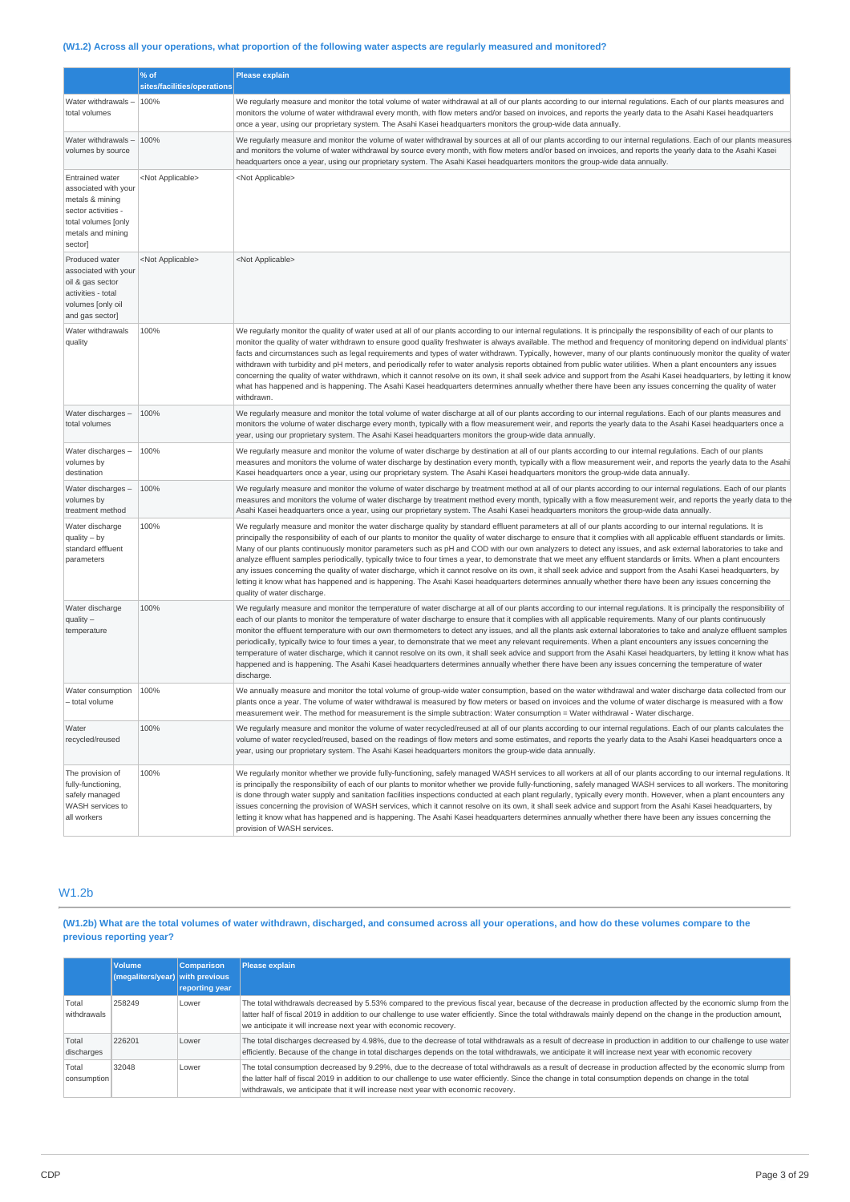# (W1.2) Across all your operations, what proportion of the following water aspects are regularly measured and monitored?

|                                                                                                                                                 | % of<br>sites/facilities/operations | <b>Please explain</b>                                                                                                                                                                                                                                                                                                                                                                                                                                                                                                                                                                                                                                                                                                                                                                                                                                                                                                                                                                                                                            |
|-------------------------------------------------------------------------------------------------------------------------------------------------|-------------------------------------|--------------------------------------------------------------------------------------------------------------------------------------------------------------------------------------------------------------------------------------------------------------------------------------------------------------------------------------------------------------------------------------------------------------------------------------------------------------------------------------------------------------------------------------------------------------------------------------------------------------------------------------------------------------------------------------------------------------------------------------------------------------------------------------------------------------------------------------------------------------------------------------------------------------------------------------------------------------------------------------------------------------------------------------------------|
|                                                                                                                                                 |                                     |                                                                                                                                                                                                                                                                                                                                                                                                                                                                                                                                                                                                                                                                                                                                                                                                                                                                                                                                                                                                                                                  |
| Water withdrawals -<br>total volumes                                                                                                            | 100%                                | We regularly measure and monitor the total volume of water withdrawal at all of our plants according to our internal regulations. Each of our plants measures and<br>monitors the volume of water withdrawal every month, with flow meters and/or based on invoices, and reports the yearly data to the Asahi Kasei headquarters<br>once a year, using our proprietary system. The Asahi Kasei headquarters monitors the group-wide data annually.                                                                                                                                                                                                                                                                                                                                                                                                                                                                                                                                                                                               |
| Water withdrawals -<br>volumes by source                                                                                                        | 100%                                | We regularly measure and monitor the volume of water withdrawal by sources at all of our plants according to our internal regulations. Each of our plants measures<br>and monitors the volume of water withdrawal by source every month, with flow meters and/or based on invoices, and reports the yearly data to the Asahi Kasei<br>headquarters once a year, using our proprietary system. The Asahi Kasei headquarters monitors the group-wide data annually.                                                                                                                                                                                                                                                                                                                                                                                                                                                                                                                                                                                |
| <b>Entrained water</b><br>associated with your<br>metals & mining<br>sector activities -<br>total volumes [only<br>metals and mining<br>sector] | <not applicable=""></not>           | <not applicable=""></not>                                                                                                                                                                                                                                                                                                                                                                                                                                                                                                                                                                                                                                                                                                                                                                                                                                                                                                                                                                                                                        |
| Produced water<br>associated with your<br>oil & gas sector<br>activities - total<br>volumes [only oil<br>and gas sector]                        | <not applicable=""></not>           | <not applicable=""></not>                                                                                                                                                                                                                                                                                                                                                                                                                                                                                                                                                                                                                                                                                                                                                                                                                                                                                                                                                                                                                        |
| Water withdrawals<br>quality                                                                                                                    | 100%                                | We regularly monitor the quality of water used at all of our plants according to our internal regulations. It is principally the responsibility of each of our plants to<br>monitor the quality of water withdrawn to ensure good quality freshwater is always available. The method and frequency of monitoring depend on individual plants'<br>facts and circumstances such as legal requirements and types of water withdrawn. Typically, however, many of our plants continuously monitor the quality of water<br>withdrawn with turbidity and pH meters, and periodically refer to water analysis reports obtained from public water utilities. When a plant encounters any issues<br>concerning the quality of water withdrawn, which it cannot resolve on its own, it shall seek advice and support from the Asahi Kasei headquarters, by letting it know<br>what has happened and is happening. The Asahi Kasei headquarters determines annually whether there have been any issues concerning the quality of water<br>withdrawn.        |
| Water discharges -<br>total volumes                                                                                                             | 100%                                | We regularly measure and monitor the total volume of water discharge at all of our plants according to our internal regulations. Each of our plants measures and<br>monitors the volume of water discharge every month, typically with a flow measurement weir, and reports the yearly data to the Asahi Kasei headquarters once a<br>year, using our proprietary system. The Asahi Kasei headquarters monitors the group-wide data annually.                                                                                                                                                                                                                                                                                                                                                                                                                                                                                                                                                                                                    |
| Water discharges -<br>volumes by<br>destination                                                                                                 | 100%                                | We reqularly measure and monitor the volume of water discharge by destination at all of our plants according to our internal requlations. Each of our plants<br>measures and monitors the volume of water discharge by destination every month, typically with a flow measurement weir, and reports the yearly data to the Asahi<br>Kasei headquarters once a year, using our proprietary system. The Asahi Kasei headquarters monitors the group-wide data annually.                                                                                                                                                                                                                                                                                                                                                                                                                                                                                                                                                                            |
| Water discharges -<br>volumes by<br>treatment method                                                                                            | 100%                                | We regularly measure and monitor the volume of water discharge by treatment method at all of our plants according to our internal regulations. Each of our plants<br>measures and monitors the volume of water discharge by treatment method every month, typically with a flow measurement weir, and reports the yearly data to the<br>Asahi Kasei headquarters once a year, using our proprietary system. The Asahi Kasei headquarters monitors the group-wide data annually.                                                                                                                                                                                                                                                                                                                                                                                                                                                                                                                                                                  |
| Water discharge<br>$quality - by$<br>standard effluent<br>parameters                                                                            | 100%                                | We regularly measure and monitor the water discharge quality by standard effluent parameters at all of our plants according to our internal regulations. It is<br>principally the responsibility of each of our plants to monitor the quality of water discharge to ensure that it complies with all applicable effluent standards or limits.<br>Many of our plants continuously monitor parameters such as pH and COD with our own analyzers to detect any issues, and ask external laboratories to take and<br>analyze effluent samples periodically, typically twice to four times a year, to demonstrate that we meet any effluent standards or limits. When a plant encounters<br>any issues concerning the quality of water discharge, which it cannot resolve on its own, it shall seek advice and support from the Asahi Kasei headquarters, by<br>letting it know what has happened and is happening. The Asahi Kasei headquarters determines annually whether there have been any issues concerning the<br>quality of water discharge. |
| Water discharge<br>$quality -$<br>temperature                                                                                                   | 100%                                | We regularly measure and monitor the temperature of water discharge at all of our plants according to our internal regulations. It is principally the responsibility of<br>each of our plants to monitor the temperature of water discharge to ensure that it complies with all applicable requirements. Many of our plants continuously<br>monitor the effluent temperature with our own thermometers to detect any issues, and all the plants ask external laboratories to take and analyze effluent samples<br>periodically, typically twice to four times a year, to demonstrate that we meet any relevant requirements. When a plant encounters any issues concerning the<br>temperature of water discharge, which it cannot resolve on its own, it shall seek advice and support from the Asahi Kasei headquarters, by letting it know what has<br>happened and is happening. The Asahi Kasei headquarters determines annually whether there have been any issues concerning the temperature of water<br>discharge.                        |
| Water consumption<br>- total volume                                                                                                             | 100%                                | We annually measure and monitor the total volume of group-wide water consumption, based on the water withdrawal and water discharge data collected from our<br>plants once a year. The volume of water withdrawal is measured by flow meters or based on invoices and the volume of water discharge is measured with a flow<br>measurement weir. The method for measurement is the simple subtraction: Water consumption = Water withdrawal - Water discharge.                                                                                                                                                                                                                                                                                                                                                                                                                                                                                                                                                                                   |
| Water<br>recycled/reused                                                                                                                        | 100%                                | We regularly measure and monitor the volume of water recycled/reused at all of our plants according to our internal regulations. Each of our plants calculates the<br>volume of water recycled/reused, based on the readings of flow meters and some estimates, and reports the yearly data to the Asahi Kasei headquarters once a<br>year, using our proprietary system. The Asahi Kasei headquarters monitors the group-wide data annually.                                                                                                                                                                                                                                                                                                                                                                                                                                                                                                                                                                                                    |
| The provision of<br>fully-functioning,<br>safely managed<br>WASH services to<br>all workers                                                     | 100%                                | We regularly monitor whether we provide fully-functioning, safely managed WASH services to all workers at all of our plants according to our internal regulations. It<br>is principally the responsibility of each of our plants to monitor whether we provide fully-functioning, safely managed WASH services to all workers. The monitoring<br>is done through water supply and sanitation facilities inspections conducted at each plant regularly, typically every month. However, when a plant encounters any<br>issues concerning the provision of WASH services, which it cannot resolve on its own, it shall seek advice and support from the Asahi Kasei headquarters, by<br>letting it know what has happened and is happening. The Asahi Kasei headquarters determines annually whether there have been any issues concerning the<br>provision of WASH services.                                                                                                                                                                      |

# W1.2b

(W1.2b) What are the total volumes of water withdrawn, discharged, and consumed across all your operations, and how do these volumes compare to the **previous reporting year?**

|                      | <b>Volume</b><br>$(megative s/year)$ with previous | <b>Comparison</b><br>reporting year | Please explain                                                                                                                                                                                                                                                                                                                                                                                                   |
|----------------------|----------------------------------------------------|-------------------------------------|------------------------------------------------------------------------------------------------------------------------------------------------------------------------------------------------------------------------------------------------------------------------------------------------------------------------------------------------------------------------------------------------------------------|
| Total<br>withdrawals | 258249                                             | Lower                               | The total withdrawals decreased by 5.53% compared to the previous fiscal year, because of the decrease in production affected by the economic slump from the<br>latter half of fiscal 2019 in addition to our challenge to use water efficiently. Since the total withdrawals mainly depend on the change in the production amount,<br>we anticipate it will increase next year with economic recovery.          |
| Total<br>discharges  | 226201                                             | Lower                               | The total discharges decreased by 4.98%, due to the decrease of total withdrawals as a result of decrease in production in addition to our challenge to use water<br>efficiently. Because of the change in total discharges depends on the total withdrawals, we anticipate it will increase next year with economic recovery                                                                                    |
| Total<br>consumption | 32048                                              | Lower                               | The total consumption decreased by 9.29%, due to the decrease of total withdrawals as a result of decrease in production affected by the economic slump from<br>the latter half of fiscal 2019 in addition to our challenge to use water efficiently. Since the change in total consumption depends on change in the total<br>withdrawals, we anticipate that it will increase next year with economic recovery. |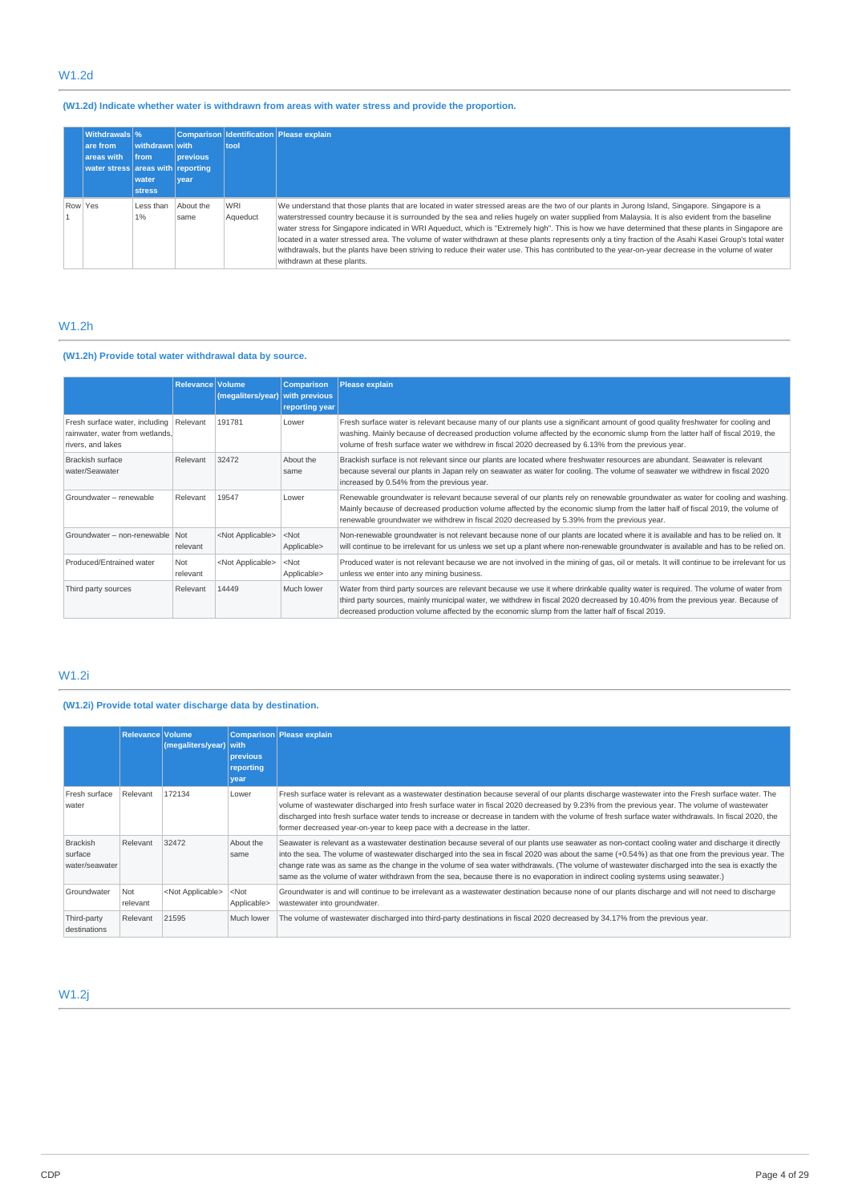# W1.2d

# **(W1.2d) Indicate whether water is withdrawn from areas with water stress and provide the proportion.**

|         | <b>Withdrawals</b> %<br>are from<br>areas with<br>water stress areas with reporting | withdrawn with<br><b>Ifrom</b><br>water<br><b>stress</b> | <b>previous</b><br>vear | tool                   | Comparison Identification Please explain                                                                                                                                                                                                                                                                                                                                                                                                                                                                                                                                                                                                                                                                                                                                                                |
|---------|-------------------------------------------------------------------------------------|----------------------------------------------------------|-------------------------|------------------------|---------------------------------------------------------------------------------------------------------------------------------------------------------------------------------------------------------------------------------------------------------------------------------------------------------------------------------------------------------------------------------------------------------------------------------------------------------------------------------------------------------------------------------------------------------------------------------------------------------------------------------------------------------------------------------------------------------------------------------------------------------------------------------------------------------|
| Row Yes |                                                                                     | Less than<br>1%                                          | About the<br>same       | <b>WRI</b><br>Aqueduct | We understand that those plants that are located in water stressed areas are the two of our plants in Jurong Island, Singapore. Singapore is a<br>waterstressed country because it is surrounded by the sea and relies hugely on water supplied from Malaysia. It is also evident from the baseline<br>water stress for Singapore indicated in WRI Aqueduct, which is "Extremely high". This is how we have determined that these plants in Singapore are<br>located in a water stressed area. The volume of water withdrawn at these plants represents only a tiny fraction of the Asahi Kasei Group's total water<br>withdrawals, but the plants have been striving to reduce their water use. This has contributed to the year-on-year decrease in the volume of water<br>withdrawn at these plants. |

# W1.2h

# **(W1.2h) Provide total water withdrawal data by source.**

|                                                                                        | Relevance Volume | (megaliters/year)         | <b>Comparison</b><br>with previous<br>reporting year | Please explain                                                                                                                                                                                                                                                                                                                                                          |
|----------------------------------------------------------------------------------------|------------------|---------------------------|------------------------------------------------------|-------------------------------------------------------------------------------------------------------------------------------------------------------------------------------------------------------------------------------------------------------------------------------------------------------------------------------------------------------------------------|
| Fresh surface water, including<br>rainwater, water from wetlands,<br>rivers, and lakes | Relevant         | 191781                    | Lower                                                | Fresh surface water is relevant because many of our plants use a significant amount of good quality freshwater for cooling and<br>washing. Mainly because of decreased production volume affected by the economic slump from the latter half of fiscal 2019, the<br>volume of fresh surface water we withdrew in fiscal 2020 decreased by 6.13% from the previous year. |
| Brackish surface<br>water/Seawater                                                     | Relevant         | 32472                     | About the<br>same                                    | Brackish surface is not relevant since our plants are located where freshwater resources are abundant. Seawater is relevant<br>because several our plants in Japan rely on seawater as water for cooling. The volume of seawater we withdrew in fiscal 2020<br>increased by 0.54% from the previous year.                                                               |
| Groundwater - renewable                                                                | Relevant         | 19547                     | Lower                                                | Renewable groundwater is relevant because several of our plants rely on renewable groundwater as water for cooling and washing.<br>Mainly because of decreased production volume affected by the economic slump from the latter half of fiscal 2019, the volume of<br>renewable groundwater we withdrew in fiscal 2020 decreased by 5.39% from the previous year.       |
| Groundwater - non-renewable Not                                                        | relevant         | <not applicable=""></not> | $<$ Not<br>Applicable>                               | Non-renewable groundwater is not relevant because none of our plants are located where it is available and has to be relied on. It<br>will continue to be irrelevant for us unless we set up a plant where non-renewable groundwater is available and has to be relied on.                                                                                              |
| Produced/Entrained water                                                               | Not<br>relevant  | <not applicable=""></not> | $<$ Not<br>Applicable>                               | Produced water is not relevant because we are not involved in the mining of gas, oil or metals. It will continue to be irrelevant for us<br>unless we enter into any mining business.                                                                                                                                                                                   |
| Third party sources                                                                    | Relevant         | 14449                     | Much lower                                           | Water from third party sources are relevant because we use it where drinkable quality water is required. The volume of water from<br>third party sources, mainly municipal water, we withdrew in fiscal 2020 decreased by 10.40% from the previous year. Because of<br>decreased production volume affected by the economic slump from the latter half of fiscal 2019.  |

# W1.2i

# **(W1.2i) Provide total water discharge data by destination.**

|                                              | Relevance Volume | (megaliters/year) with    | previous<br>reporting<br>vear | Comparison Please explain                                                                                                                                                                                                                                                                                                                                                                                                                                                                                                                                                                     |
|----------------------------------------------|------------------|---------------------------|-------------------------------|-----------------------------------------------------------------------------------------------------------------------------------------------------------------------------------------------------------------------------------------------------------------------------------------------------------------------------------------------------------------------------------------------------------------------------------------------------------------------------------------------------------------------------------------------------------------------------------------------|
| Fresh surface<br>water                       | Relevant         | 172134                    | Lower                         | Fresh surface water is relevant as a wastewater destination because several of our plants discharge wastewater into the Fresh surface water. The<br>volume of wastewater discharged into fresh surface water in fiscal 2020 decreased by 9.23% from the previous year. The volume of wastewater<br>discharged into fresh surface water tends to increase or decrease in tandem with the volume of fresh surface water withdrawals. In fiscal 2020, the<br>former decreased year-on-year to keep pace with a decrease in the latter.                                                           |
| <b>Brackish</b><br>surface<br>water/seawater | Relevant         | 32472                     | About the<br>same             | Seawater is relevant as a wastewater destination because several of our plants use seawater as non-contact cooling water and discharge it directly<br>into the sea. The volume of wastewater discharged into the sea in fiscal 2020 was about the same (+0.54%) as that one from the previous year. The<br>change rate was as same as the change in the volume of sea water withdrawals. (The volume of wastewater discharged into the sea is exactly the<br>same as the volume of water withdrawn from the sea, because there is no evaporation in indirect cooling systems using seawater.) |
| Groundwater                                  | Not<br>relevant  | <not applicable=""></not> | $<$ Not<br>Applicable>        | Groundwater is and will continue to be irrelevant as a wastewater destination because none of our plants discharge and will not need to discharge<br>wastewater into groundwater.                                                                                                                                                                                                                                                                                                                                                                                                             |
| Third-party<br>destinations                  | Relevant         | 21595                     | Much lower                    | The volume of wastewater discharged into third-party destinations in fiscal 2020 decreased by 34.17% from the previous year.                                                                                                                                                                                                                                                                                                                                                                                                                                                                  |

W1.2j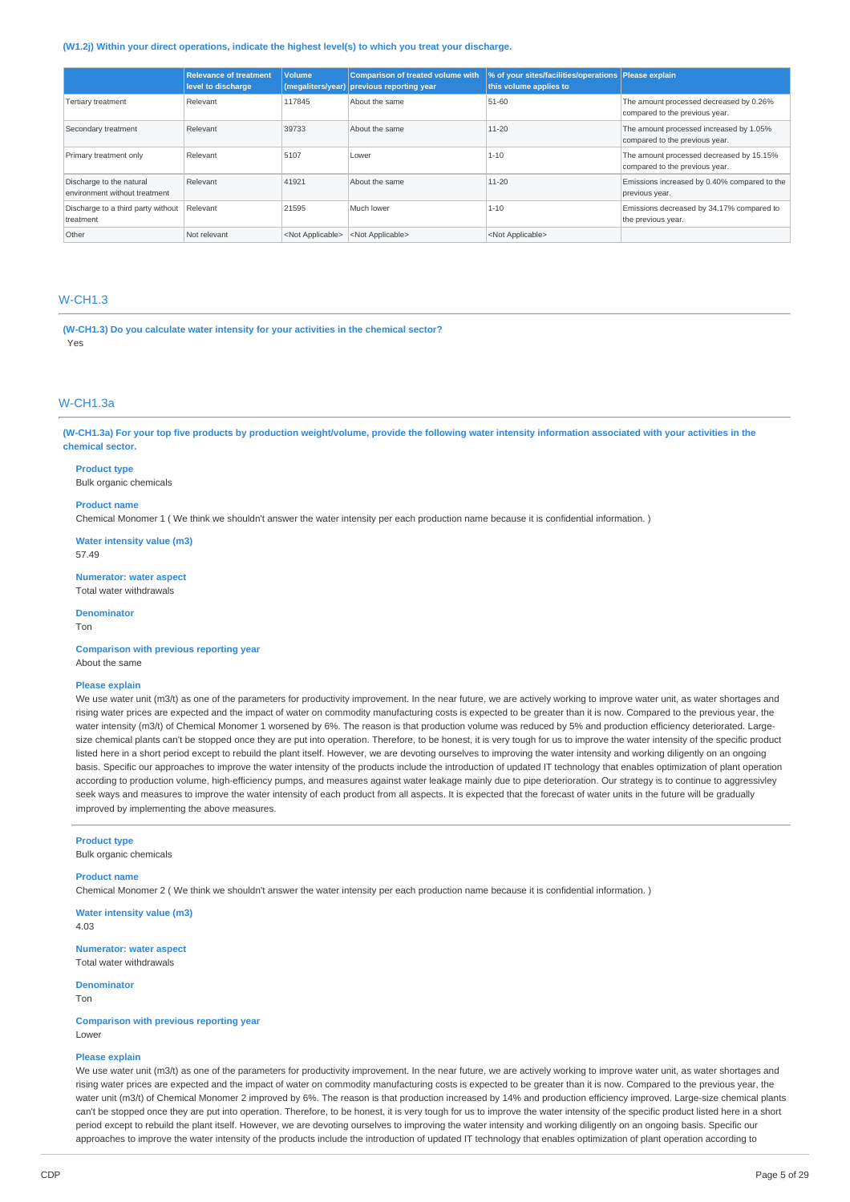#### **(W1.2j) Within your direct operations, indicate the highest level(s) to which you treat your discharge.**

|                                                           | <b>Relevance of treatment</b><br>level to discharge | <b>Volume</b>             | <b>Comparison of treated volume with</b><br>(megaliters/year) previous reporting year | % of your sites/facilities/operations Please explain<br>this volume applies to |                                                                            |
|-----------------------------------------------------------|-----------------------------------------------------|---------------------------|---------------------------------------------------------------------------------------|--------------------------------------------------------------------------------|----------------------------------------------------------------------------|
| Tertiary treatment                                        | Relevant                                            | 117845                    | About the same                                                                        | 51-60                                                                          | The amount processed decreased by 0.26%<br>compared to the previous year.  |
| Secondary treatment                                       | Relevant                                            | 39733                     | About the same                                                                        | $11 - 20$                                                                      | The amount processed increased by 1.05%<br>compared to the previous year.  |
| Primary treatment only                                    | Relevant                                            | 5107                      | Lower                                                                                 | $1 - 10$                                                                       | The amount processed decreased by 15.15%<br>compared to the previous year. |
| Discharge to the natural<br>environment without treatment | Relevant                                            | 41921                     | About the same                                                                        | $11 - 20$                                                                      | Emissions increased by 0.40% compared to the<br>previous year.             |
| Discharge to a third party without<br>treatment           | Relevant                                            | 21595                     | Much lower                                                                            | $1 - 10$                                                                       | Emissions decreased by 34.17% compared to<br>the previous year.            |
| Other                                                     | Not relevant                                        | <not applicable=""></not> | <not applicable=""></not>                                                             | <not applicable=""></not>                                                      |                                                                            |

# W-CH1.3

**(W-CH1.3) Do you calculate water intensity for your activities in the chemical sector?** Yes

# W-CH1.3a

(W-CH1.3a) For your top five products by production weight/volume, provide the following water intensity information associated with your activities in the **chemical sector.**

### **Product type**

Bulk organic chemicals

# **Product name**

Chemical Monomer 1 ( We think we shouldn't answer the water intensity per each production name because it is confidential information. )

**Water intensity value (m3)**

57.49

**Numerator: water aspect** Total water withdrawals

#### **Denominator**

Ton

**Comparison with previous reporting year** About the same

### **Please explain**

We use water unit (m3/t) as one of the parameters for productivity improvement. In the near future, we are actively working to improve water unit, as water shortages and rising water prices are expected and the impact of water on commodity manufacturing costs is expected to be greater than it is now. Compared to the previous year, the water intensity (m3/t) of Chemical Monomer 1 worsened by 6%. The reason is that production volume was reduced by 5% and production efficiency deteriorated. Largesize chemical plants can't be stopped once they are put into operation. Therefore, to be honest, it is very tough for us to improve the water intensity of the specific product listed here in a short period except to rebuild the plant itself. However, we are devoting ourselves to improving the water intensity and working diligently on an ongoing basis. Specific our approaches to improve the water intensity of the products include the introduction of updated IT technology that enables optimization of plant operation according to production volume, high-efficiency pumps, and measures against water leakage mainly due to pipe deterioration. Our strategy is to continue to aggressivley seek ways and measures to improve the water intensity of each product from all aspects. It is expected that the forecast of water units in the future will be gradually improved by implementing the above measures.

# **Product type**

Bulk organic chemicals

# **Product name**

Chemical Monomer 2 ( We think we shouldn't answer the water intensity per each production name because it is confidential information. )

**Water intensity value (m3)** 4.03

**Numerator: water aspect** Total water withdrawals

**Denominator** Ton

**Comparison with previous reporting year** Lower

### **Please explain**

We use water unit (m3/t) as one of the parameters for productivity improvement. In the near future, we are actively working to improve water unit, as water shortages and rising water prices are expected and the impact of water on commodity manufacturing costs is expected to be greater than it is now. Compared to the previous year, the water unit (m3/t) of Chemical Monomer 2 improved by 6%. The reason is that production increased by 14% and production efficiency improved. Large-size chemical plants can't be stopped once they are put into operation. Therefore, to be honest, it is very tough for us to improve the water intensity of the specific product listed here in a short period except to rebuild the plant itself. However, we are devoting ourselves to improving the water intensity and working diligently on an ongoing basis. Specific our approaches to improve the water intensity of the products include the introduction of updated IT technology that enables optimization of plant operation according to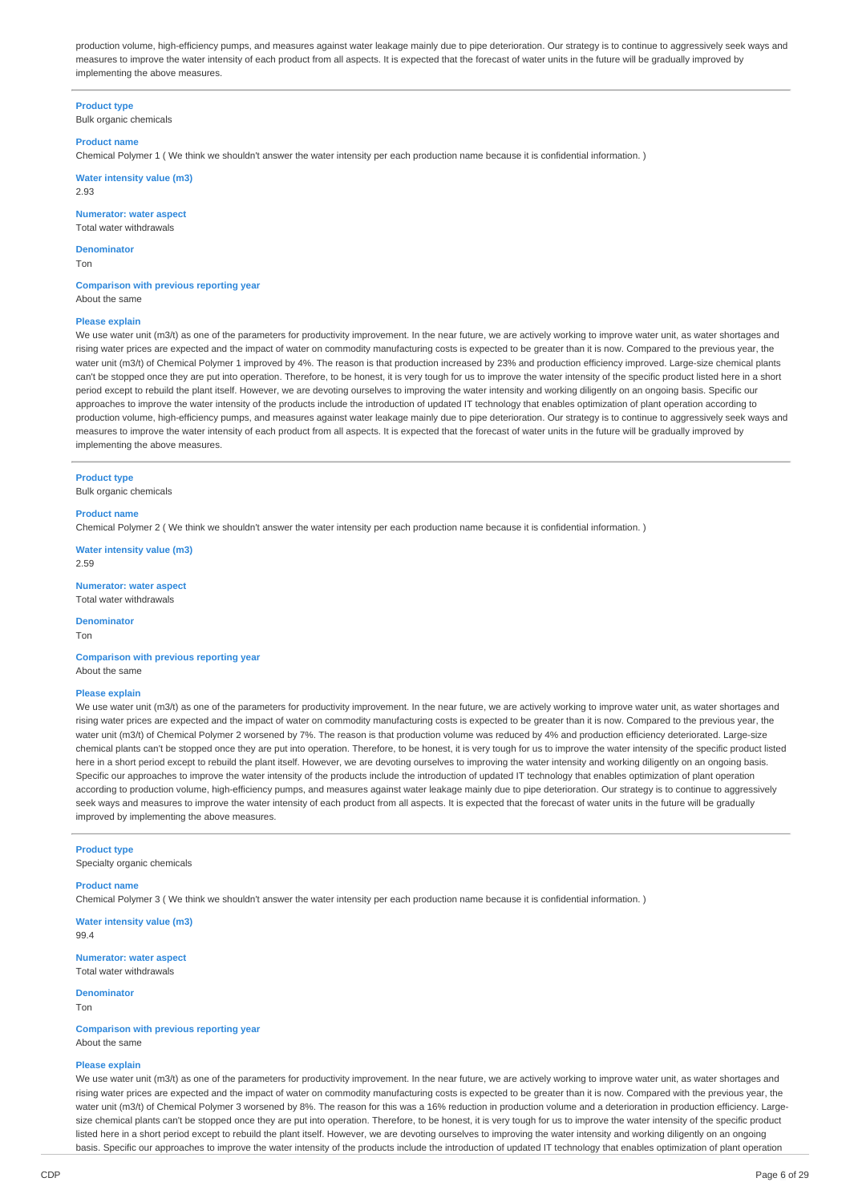production volume, high-efficiency pumps, and measures against water leakage mainly due to pipe deterioration. Our strategy is to continue to aggressively seek ways and measures to improve the water intensity of each product from all aspects. It is expected that the forecast of water units in the future will be gradually improved by implementing the above measures.

**Product type** Bulk organic chemicals

#### **Product name**

Chemical Polymer 1 ( We think we shouldn't answer the water intensity per each production name because it is confidential information. )

**Water intensity value (m3)** 2.93

**Numerator: water aspect**

Total water withdrawals

**Denominator** Ton

**Comparison with previous reporting year** About the same

#### **Please explain**

We use water unit (m3/t) as one of the parameters for productivity improvement. In the near future, we are actively working to improve water unit, as water shortages and rising water prices are expected and the impact of water on commodity manufacturing costs is expected to be greater than it is now. Compared to the previous year, the water unit (m3/t) of Chemical Polymer 1 improved by 4%. The reason is that production increased by 23% and production efficiency improved. Large-size chemical plants can't be stopped once they are put into operation. Therefore, to be honest, it is very tough for us to improve the water intensity of the specific product listed here in a short period except to rebuild the plant itself. However, we are devoting ourselves to improving the water intensity and working diligently on an ongoing basis. Specific our approaches to improve the water intensity of the products include the introduction of updated IT technology that enables optimization of plant operation according to production volume, high-efficiency pumps, and measures against water leakage mainly due to pipe deterioration. Our strategy is to continue to aggressively seek ways and measures to improve the water intensity of each product from all aspects. It is expected that the forecast of water units in the future will be gradually improved by implementing the above measures.

### **Product type**

Bulk organic chemicals

#### **Product name**

Chemical Polymer 2 ( We think we shouldn't answer the water intensity per each production name because it is confidential information. )

**Water intensity value (m3)** 2.59

**Numerator: water aspect**

Total water withdrawals

**Denominator**

Ton

**Comparison with previous reporting year** About the same

# **Please explain**

We use water unit (m3/t) as one of the parameters for productivity improvement. In the near future, we are actively working to improve water unit, as water shortages and rising water prices are expected and the impact of water on commodity manufacturing costs is expected to be greater than it is now. Compared to the previous year, the water unit (m3/t) of Chemical Polymer 2 worsened by 7%. The reason is that production volume was reduced by 4% and production efficiency deteriorated. Large-size chemical plants can't be stopped once they are put into operation. Therefore, to be honest, it is very tough for us to improve the water intensity of the specific product listed here in a short period except to rebuild the plant itself. However, we are devoting ourselves to improving the water intensity and working diligently on an ongoing basis. Specific our approaches to improve the water intensity of the products include the introduction of updated IT technology that enables optimization of plant operation according to production volume, high-efficiency pumps, and measures against water leakage mainly due to pipe deterioration. Our strategy is to continue to aggressively seek ways and measures to improve the water intensity of each product from all aspects. It is expected that the forecast of water units in the future will be gradually improved by implementing the above measures.

### **Product type**

Specialty organic chemicals

### **Product name**

Chemical Polymer 3 ( We think we shouldn't answer the water intensity per each production name because it is confidential information. )

**Water intensity value (m3)** 99.4

**Numerator: water aspect** Total water withdrawals

#### **Denominator**

Ton

**Comparison with previous reporting year** About the same

# **Please explain**

We use water unit (m3/t) as one of the parameters for productivity improvement. In the near future, we are actively working to improve water unit, as water shortages and rising water prices are expected and the impact of water on commodity manufacturing costs is expected to be greater than it is now. Compared with the previous year, the water unit (m3/t) of Chemical Polymer 3 worsened by 8%. The reason for this was a 16% reduction in production volume and a deterioration in production efficiency. Largesize chemical plants can't be stopped once they are put into operation. Therefore, to be honest, it is very tough for us to improve the water intensity of the specific product listed here in a short period except to rebuild the plant itself. However, we are devoting ourselves to improving the water intensity and working diligently on an ongoing basis. Specific our approaches to improve the water intensity of the products include the introduction of updated IT technology that enables optimization of plant operation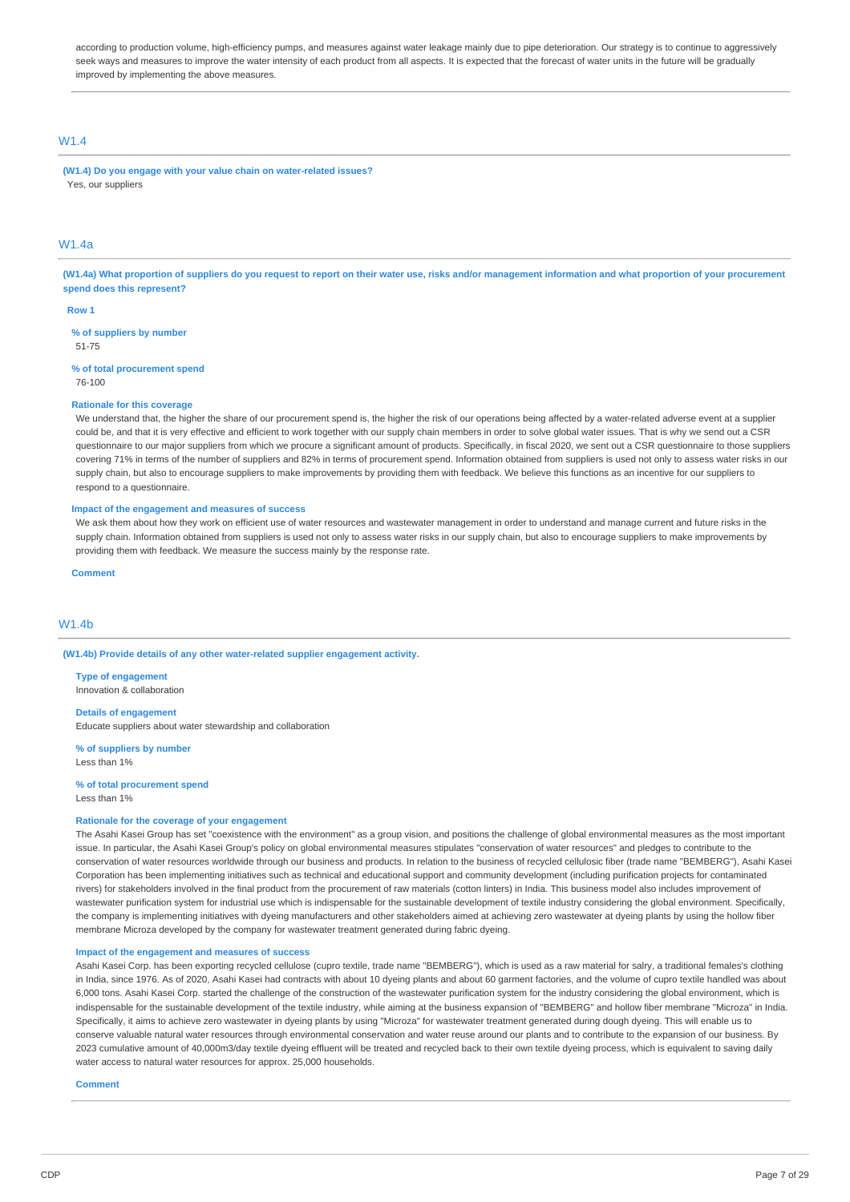according to production volume, high-efficiency pumps, and measures against water leakage mainly due to pipe deterioration. Our strategy is to continue to aggressively seek ways and measures to improve the water intensity of each product from all aspects. It is expected that the forecast of water units in the future will be gradually improved by implementing the above measures.

# W1.4

**(W1.4) Do you engage with your value chain on water-related issues?** Yes, our suppliers

# W1.4a

(W1.4a) What proportion of suppliers do you request to report on their water use, risks and/or management information and what proportion of your procurement **spend does this represent?**

#### **Row 1**

**% of suppliers by number** 51-75

### **% of total procurement spend**

76-100

### **Rationale for this coverage**

We understand that, the higher the share of our procurement spend is, the higher the risk of our operations being affected by a water-related adverse event at a supplier could be, and that it is very effective and efficient to work together with our supply chain members in order to solve global water issues. That is why we send out a CSR questionnaire to our major suppliers from which we procure a significant amount of products. Specifically, in fiscal 2020, we sent out a CSR questionnaire to those suppliers covering 71% in terms of the number of suppliers and 82% in terms of procurement spend. Information obtained from suppliers is used not only to assess water risks in our supply chain, but also to encourage suppliers to make improvements by providing them with feedback. We believe this functions as an incentive for our suppliers to respond to a questionnaire.

### **Impact of the engagement and measures of success**

We ask them about how they work on efficient use of water resources and wastewater management in order to understand and manage current and future risks in the supply chain. Information obtained from suppliers is used not only to assess water risks in our supply chain, but also to encourage suppliers to make improvements by providing them with feedback. We measure the success mainly by the response rate.

**Comment**

### W<sub>1</sub> 4h

**(W1.4b) Provide details of any other water-related supplier engagement activity.**

**Type of engagement** Innovation & collaboration

#### **Details of engagement**

Educate suppliers about water stewardship and collaboration

**% of suppliers by number** Less than 1%

#### **% of total procurement spend** Less than 1%

# **Rationale for the coverage of your engagement**

The Asahi Kasei Group has set "coexistence with the environment" as a group vision, and positions the challenge of global environmental measures as the most important issue. In particular, the Asahi Kasei Group's policy on global environmental measures stipulates "conservation of water resources" and pledges to contribute to the conservation of water resources worldwide through our business and products. In relation to the business of recycled cellulosic fiber (trade name "BEMBERG"), Asahi Kasei Corporation has been implementing initiatives such as technical and educational support and community development (including purification projects for contaminated rivers) for stakeholders involved in the final product from the procurement of raw materials (cotton linters) in India. This business model also includes improvement of wastewater purification system for industrial use which is indispensable for the sustainable development of textile industry considering the global environment. Specifically, the company is implementing initiatives with dyeing manufacturers and other stakeholders aimed at achieving zero wastewater at dyeing plants by using the hollow fiber membrane Microza developed by the company for wastewater treatment generated during fabric dyeing.

### **Impact of the engagement and measures of success**

Asahi Kasei Corp. has been exporting recycled cellulose (cupro textile, trade name "BEMBERG"), which is used as a raw material for salry, a traditional females's clothing in India, since 1976. As of 2020, Asahi Kasei had contracts with about 10 dyeing plants and about 60 garment factories, and the volume of cupro textile handled was about 6,000 tons. Asahi Kasei Corp. started the challenge of the construction of the wastewater purification system for the industry considering the global environment, which is indispensable for the sustainable development of the textile industry, while aiming at the business expansion of "BEMBERG" and hollow fiber membrane "Microza" in India. Specifically, it aims to achieve zero wastewater in dyeing plants by using "Microza" for wastewater treatment generated during dough dyeing. This will enable us to conserve valuable natural water resources through environmental conservation and water reuse around our plants and to contribute to the expansion of our business. By 2023 cumulative amount of 40,000m3/day textile dyeing effluent will be treated and recycled back to their own textile dyeing process, which is equivalent to saving daily water access to natural water resources for approx. 25,000 households.

### **Comment**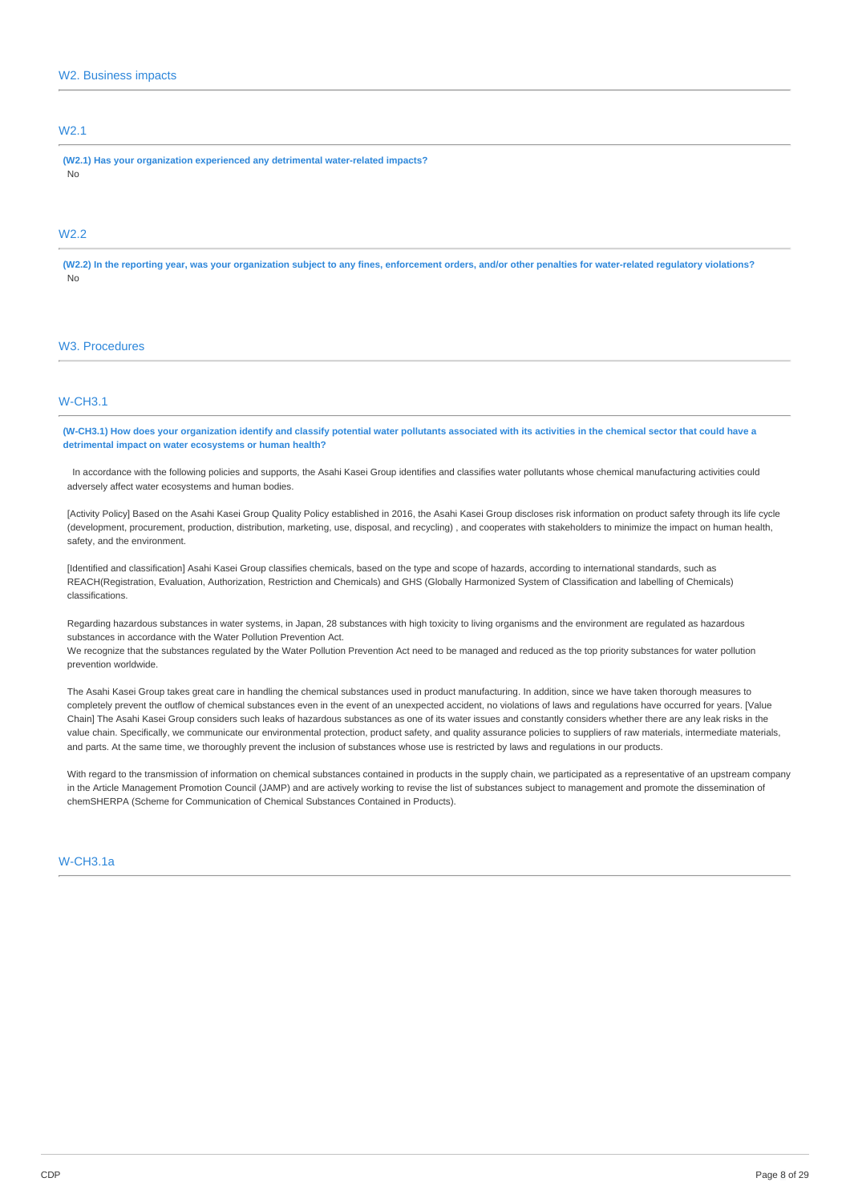# W2.1

**(W2.1) Has your organization experienced any detrimental water-related impacts?** No

# W<sub>2.2</sub>

(W2.2) In the reporting year, was your organization subject to any fines, enforcement orders, and/or other penalties for water-related regulatory violations? No

### W3. Procedures

# W-CH3.1

(W-CH3.1) How does your organization identify and classify potential water pollutants associated with its activities in the chemical sector that could have a **detrimental impact on water ecosystems or human health?**

In accordance with the following policies and supports, the Asahi Kasei Group identifies and classifies water pollutants whose chemical manufacturing activities could adversely affect water ecosystems and human bodies.

[Activity Policy] Based on the Asahi Kasei Group Quality Policy established in 2016, the Asahi Kasei Group discloses risk information on product safety through its life cycle (development, procurement, production, distribution, marketing, use, disposal, and recycling) , and cooperates with stakeholders to minimize the impact on human health, safety, and the environment.

[Identified and classification] Asahi Kasei Group classifies chemicals, based on the type and scope of hazards, according to international standards, such as REACH(Registration, Evaluation, Authorization, Restriction and Chemicals) and GHS (Globally Harmonized System of Classification and labelling of Chemicals) classifications.

Regarding hazardous substances in water systems, in Japan, 28 substances with high toxicity to living organisms and the environment are regulated as hazardous substances in accordance with the Water Pollution Prevention Act.

We recognize that the substances regulated by the Water Pollution Prevention Act need to be managed and reduced as the top priority substances for water pollution prevention worldwide.

The Asahi Kasei Group takes great care in handling the chemical substances used in product manufacturing. In addition, since we have taken thorough measures to completely prevent the outflow of chemical substances even in the event of an unexpected accident, no violations of laws and regulations have occurred for years. [Value Chain] The Asahi Kasei Group considers such leaks of hazardous substances as one of its water issues and constantly considers whether there are any leak risks in the value chain. Specifically, we communicate our environmental protection, product safety, and quality assurance policies to suppliers of raw materials, intermediate materials, and parts. At the same time, we thoroughly prevent the inclusion of substances whose use is restricted by laws and regulations in our products.

With regard to the transmission of information on chemical substances contained in products in the supply chain, we participated as a representative of an upstream company in the Article Management Promotion Council (JAMP) and are actively working to revise the list of substances subject to management and promote the dissemination of chemSHERPA (Scheme for Communication of Chemical Substances Contained in Products).

### W-CH3.1a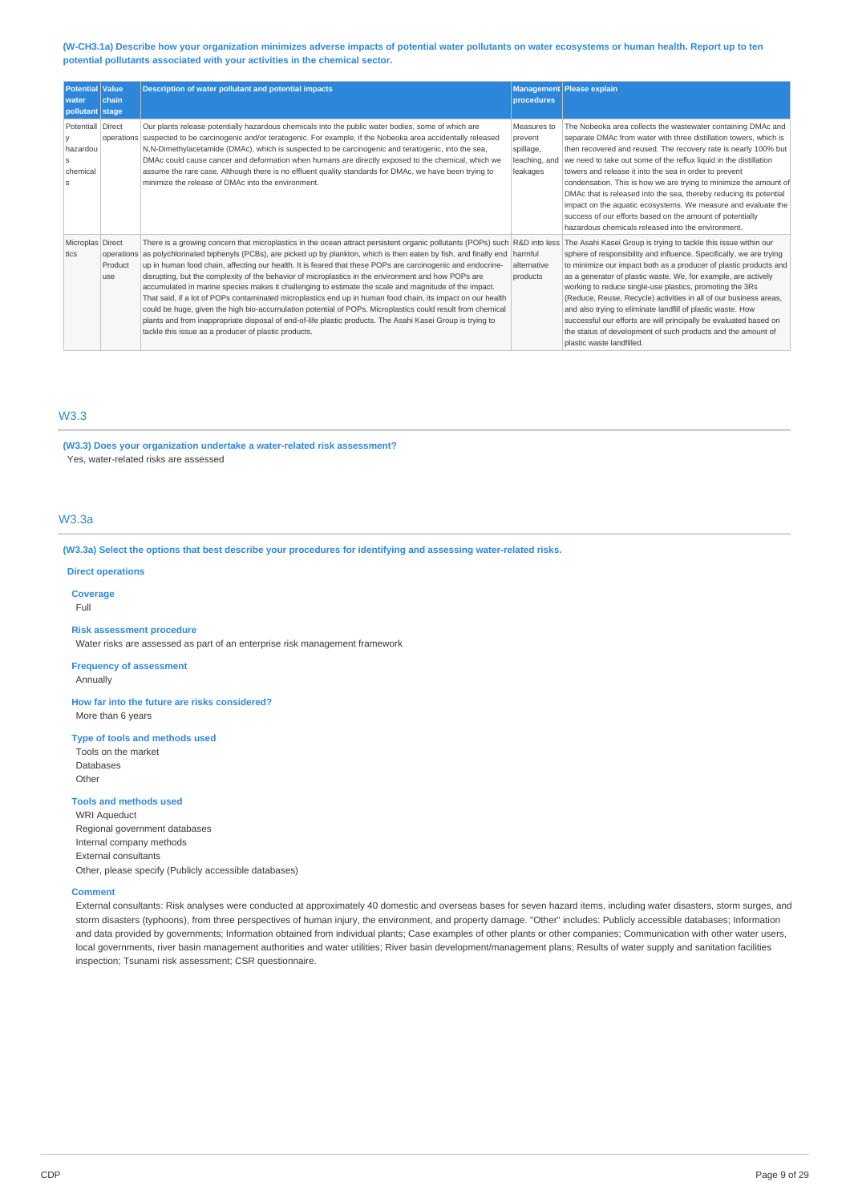(W-CH3.1a) Describe how your organization minimizes adverse impacts of potential water pollutants on water ecosystems or human health. Report up to ten **potential pollutants associated with your activities in the chemical sector.**

| <b>Potential Value</b>                               |                | <b>Description of water pollutant and potential impacts</b>                                                                                                                                                                                                                                                                                                                                                                                                                                                                                                                                                                                                                                                                                                                                                                                                                                                                                                                            |                                                                  | <b>Management Please explain</b>                                                                                                                                                                                                                                                                                                                                                                                                                                                                                                                                                                                                                                   |
|------------------------------------------------------|----------------|----------------------------------------------------------------------------------------------------------------------------------------------------------------------------------------------------------------------------------------------------------------------------------------------------------------------------------------------------------------------------------------------------------------------------------------------------------------------------------------------------------------------------------------------------------------------------------------------------------------------------------------------------------------------------------------------------------------------------------------------------------------------------------------------------------------------------------------------------------------------------------------------------------------------------------------------------------------------------------------|------------------------------------------------------------------|--------------------------------------------------------------------------------------------------------------------------------------------------------------------------------------------------------------------------------------------------------------------------------------------------------------------------------------------------------------------------------------------------------------------------------------------------------------------------------------------------------------------------------------------------------------------------------------------------------------------------------------------------------------------|
| water<br>pollutant stage                             | chain          |                                                                                                                                                                                                                                                                                                                                                                                                                                                                                                                                                                                                                                                                                                                                                                                                                                                                                                                                                                                        | procedures                                                       |                                                                                                                                                                                                                                                                                                                                                                                                                                                                                                                                                                                                                                                                    |
| Potentiall Direct<br>hazardou<br>Š.<br>chemical<br>S |                | Our plants release potentially hazardous chemicals into the public water bodies, some of which are<br>operations suspected to be carcinogenic and/or teratogenic. For example, if the Nobeoka area accidentally released<br>N, N-Dimethylacetamide (DMAc), which is suspected to be carcinogenic and teratogenic, into the sea,<br>DMAc could cause cancer and deformation when humans are directly exposed to the chemical, which we<br>assume the rare case. Although there is no effluent quality standards for DMAc, we have been trying to<br>minimize the release of DMAc into the environment.                                                                                                                                                                                                                                                                                                                                                                                  | Measures to<br>prevent<br>spillage,<br>leaching, and<br>leakages | The Nobeoka area collects the wastewater containing DMAc and<br>separate DMAc from water with three distillation towers, which is<br>then recovered and reused. The recovery rate is nearly 100% but<br>we need to take out some of the reflux liquid in the distillation<br>towers and release it into the sea in order to prevent<br>condensation. This is how we are trying to minimize the amount of<br>DMAc that is released into the sea, thereby reducing its potential<br>impact on the aquatic ecosystems. We measure and evaluate the<br>success of our efforts based on the amount of potentially<br>hazardous chemicals released into the environment. |
| Microplas Direct<br>tics                             | Product<br>use | There is a growing concern that microplastics in the ocean attract persistent organic pollutants (POPs) such R&D into less<br>operations as polychlorinated biphenyls (PCBs), are picked up by plankton, which is then eaten by fish, and finally end<br>up in human food chain, affecting our health. It is feared that these POPs are carcinogenic and endocrine-<br>disrupting, but the complexity of the behavior of microplastics in the environment and how POPs are<br>accumulated in marine species makes it challenging to estimate the scale and magnitude of the impact.<br>That said, if a lot of POPs contaminated microplastics end up in human food chain, its impact on our health<br>could be huge, given the high bio-accumulation potential of POPs. Microplastics could result from chemical<br>plants and from inappropriate disposal of end-of-life plastic products. The Asahi Kasei Group is trying to<br>tackle this issue as a producer of plastic products. | harmful<br>alternative<br>products                               | The Asahi Kasei Group is trying to tackle this issue within our<br>sphere of responsibility and influence. Specifically, we are trying<br>to minimize our impact both as a producer of plastic products and<br>as a generator of plastic waste. We, for example, are actively<br>working to reduce single-use plastics, promoting the 3Rs<br>(Reduce, Reuse, Recycle) activities in all of our business areas,<br>and also trying to eliminate landfill of plastic waste. How<br>successful our efforts are will principally be evaluated based on<br>the status of development of such products and the amount of<br>plastic waste landfilled.                    |

# W3.3

**(W3.3) Does your organization undertake a water-related risk assessment?**

Yes, water-related risks are assessed

# W3.3a

**(W3.3a) Select the options that best describe your procedures for identifying and assessing water-related risks.**

# **Direct operations**

**Coverage**

Full

### **Risk assessment procedure**

Water risks are assessed as part of an enterprise risk management framework

# **Frequency of assessment**

Annually

**How far into the future are risks considered?** More than 6 years

### **Type of tools and methods used**

Tools on the market Databases Other

**Tools and methods used** WRI Aqueduct Regional government databases Internal company methods External consultants Other, please specify (Publicly accessible databases)

#### **Comment**

External consultants: Risk analyses were conducted at approximately 40 domestic and overseas bases for seven hazard items, including water disasters, storm surges, and storm disasters (typhoons), from three perspectives of human injury, the environment, and property damage. "Other" includes: Publicly accessible databases; Information and data provided by governments; Information obtained from individual plants; Case examples of other plants or other companies; Communication with other water users, local governments, river basin management authorities and water utilities; River basin development/management plans; Results of water supply and sanitation facilities inspection; Tsunami risk assessment; CSR questionnaire.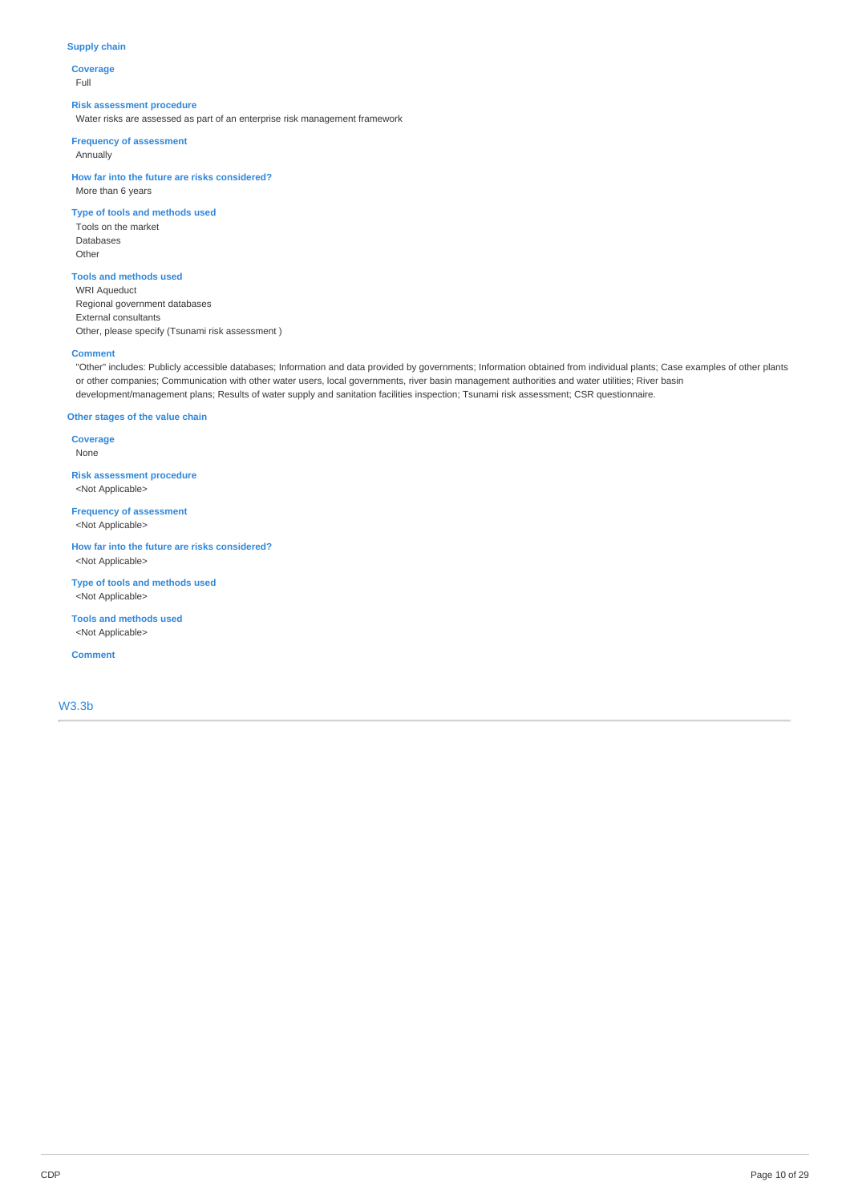### **Supply chain**

**Coverage** Full

#### **Risk assessment procedure**

Water risks are assessed as part of an enterprise risk management framework

**Frequency of assessment**

Annually

**How far into the future are risks considered?** More than 6 years

# **Type of tools and methods used**

Tools on the market Databases Other

### **Tools and methods used**

WRI Aqueduct Regional government databases External consultants Other, please specify (Tsunami risk assessment )

### **Comment**

"Other" includes: Publicly accessible databases; Information and data provided by governments; Information obtained from individual plants; Case examples of other plants or other companies; Communication with other water users, local governments, river basin management authorities and water utilities; River basin development/management plans; Results of water supply and sanitation facilities inspection; Tsunami risk assessment; CSR questionnaire.

# **Other stages of the value chain**

**Coverage** None

**Risk assessment procedure** <Not Applicable>

**Frequency of assessment** <Not Applicable>

**How far into the future are risks considered?** <Not Applicable>

**Type of tools and methods used** <Not Applicable>

**Tools and methods used** <Not Applicable>

**Comment**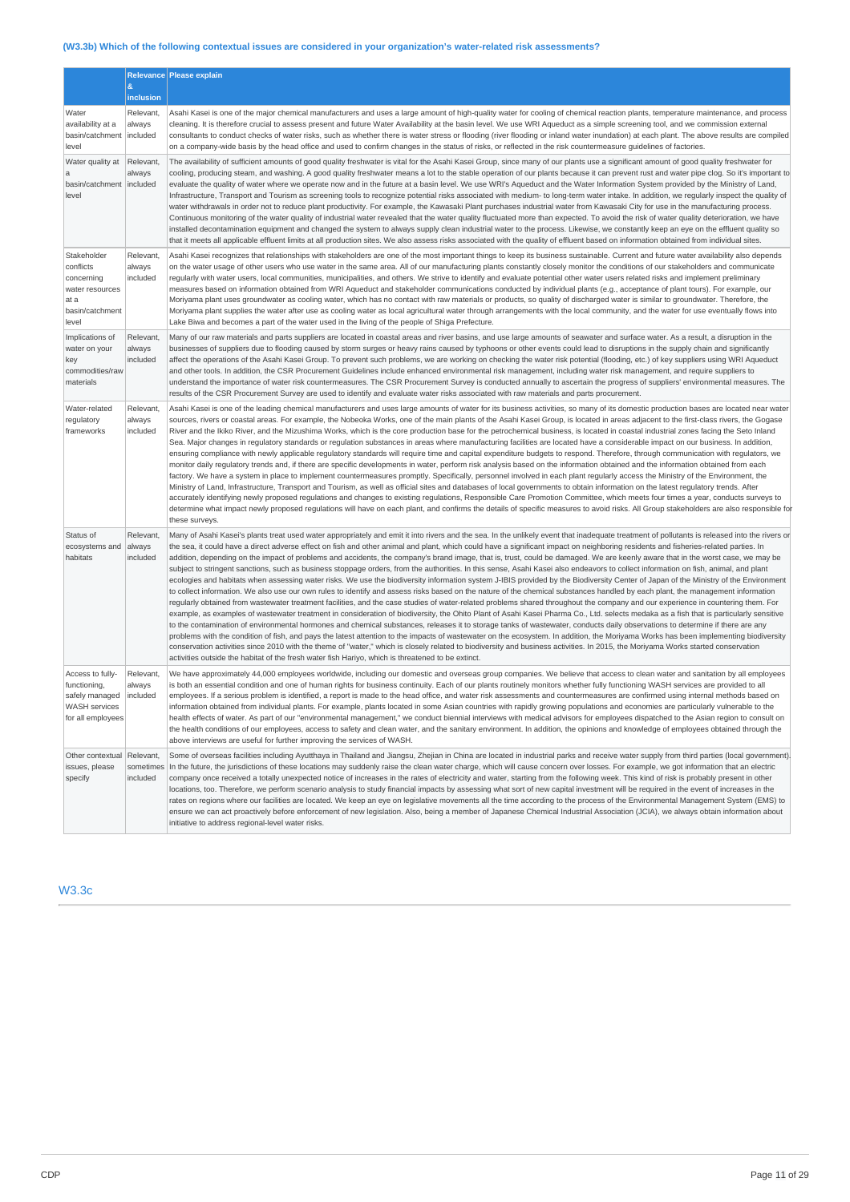# **(W3.3b) Which of the following contextual issues are considered in your organization's water-related risk assessments?**

|                                                                                               | &<br>inclusion                     | Relevance Please explain                                                                                                                                                                                                                                                                                                                                                                                                                                                                                                                                                                                                                                                                                                                                                                                                                                                                                                                                                                                                                                                                                                                                                                                                                                                                                                                                                                                                                                                                                                                                                                                                                                                                                                                                                                                                                                                                                                                                                                                                                                                                                                                                                                  |
|-----------------------------------------------------------------------------------------------|------------------------------------|-------------------------------------------------------------------------------------------------------------------------------------------------------------------------------------------------------------------------------------------------------------------------------------------------------------------------------------------------------------------------------------------------------------------------------------------------------------------------------------------------------------------------------------------------------------------------------------------------------------------------------------------------------------------------------------------------------------------------------------------------------------------------------------------------------------------------------------------------------------------------------------------------------------------------------------------------------------------------------------------------------------------------------------------------------------------------------------------------------------------------------------------------------------------------------------------------------------------------------------------------------------------------------------------------------------------------------------------------------------------------------------------------------------------------------------------------------------------------------------------------------------------------------------------------------------------------------------------------------------------------------------------------------------------------------------------------------------------------------------------------------------------------------------------------------------------------------------------------------------------------------------------------------------------------------------------------------------------------------------------------------------------------------------------------------------------------------------------------------------------------------------------------------------------------------------------|
| Water<br>availability at a<br>basin/catchment<br>level                                        | Relevant,<br>always<br>included    | Asahi Kasei is one of the major chemical manufacturers and uses a large amount of high-quality water for cooling of chemical reaction plants, temperature maintenance, and process<br>cleaning. It is therefore crucial to assess present and future Water Availability at the basin level. We use WRI Aqueduct as a simple screening tool, and we commission external<br>consultants to conduct checks of water risks, such as whether there is water stress or flooding (river flooding or inland water inundation) at each plant. The above results are compiled<br>on a company-wide basis by the head office and used to confirm changes in the status of risks, or reflected in the risk countermeasure quidelines of factories.                                                                                                                                                                                                                                                                                                                                                                                                                                                                                                                                                                                                                                                                                                                                                                                                                                                                                                                                                                                                                                                                                                                                                                                                                                                                                                                                                                                                                                                    |
| Water quality at<br>$\mathbf a$<br>basin/catchment<br>level                                   | Relevant,<br>always<br>included    | The availability of sufficient amounts of good quality freshwater is vital for the Asahi Kasei Group, since many of our plants use a significant amount of good quality freshwater for<br>cooling, producing steam, and washing. A good quality freshwater means a lot to the stable operation of our plants because it can prevent rust and water pipe clog. So it's important to<br>evaluate the quality of water where we operate now and in the future at a basin level. We use WRI's Aqueduct and the Water Information System provided by the Ministry of Land,<br>Infrastructure, Transport and Tourism as screening tools to recognize potential risks associated with medium- to long-term water intake. In addition, we regularly inspect the quality of<br>water withdrawals in order not to reduce plant productivity. For example, the Kawasaki Plant purchases industrial water from Kawasaki City for use in the manufacturing process.<br>Continuous monitoring of the water quality of industrial water revealed that the water quality fluctuated more than expected. To avoid the risk of water quality deterioration, we have<br>installed decontamination equipment and changed the system to always supply clean industrial water to the process. Likewise, we constantly keep an eye on the effluent quality so<br>that it meets all applicable effluent limits at all production sites. We also assess risks associated with the quality of effluent based on information obtained from individual sites.                                                                                                                                                                                                                                                                                                                                                                                                                                                                                                                                                                                                                                                         |
| Stakeholder<br>conflicts<br>concerning<br>water resources<br>at a<br>basin/catchment<br>level | Relevant,<br>always<br>included    | Asahi Kasei recognizes that relationships with stakeholders are one of the most important things to keep its business sustainable. Current and future water availability also depends<br>on the water usage of other users who use water in the same area. All of our manufacturing plants constantly closely monitor the conditions of our stakeholders and communicate<br>regularly with water users, local communities, municipalities, and others. We strive to identify and evaluate potential other water users related risks and implement preliminary<br>measures based on information obtained from WRI Aqueduct and stakeholder communications conducted by individual plants (e.g., acceptance of plant tours). For example, our<br>Moriyama plant uses groundwater as cooling water, which has no contact with raw materials or products, so quality of discharged water is similar to groundwater. Therefore, the<br>Moriyama plant supplies the water after use as cooling water as local agricultural water through arrangements with the local community, and the water for use eventually flows into<br>Lake Biwa and becomes a part of the water used in the living of the people of Shiga Prefecture.                                                                                                                                                                                                                                                                                                                                                                                                                                                                                                                                                                                                                                                                                                                                                                                                                                                                                                                                                                  |
| Implications of<br>water on your<br>key<br>commodities/raw<br>materials                       | Relevant,<br>always<br>included    | Many of our raw materials and parts suppliers are located in coastal areas and river basins, and use large amounts of seawater and surface water. As a result, a disruption in the<br>businesses of suppliers due to flooding caused by storm surges or heavy rains caused by typhoons or other events could lead to disruptions in the supply chain and significantly<br>affect the operations of the Asahi Kasei Group. To prevent such problems, we are working on checking the water risk potential (flooding, etc.) of key suppliers using WRI Aqueduct<br>and other tools. In addition, the CSR Procurement Guidelines include enhanced environmental risk management, including water risk management, and require suppliers to<br>understand the importance of water risk countermeasures. The CSR Procurement Survey is conducted annually to ascertain the progress of suppliers' environmental measures. The<br>results of the CSR Procurement Survey are used to identify and evaluate water risks associated with raw materials and parts procurement.                                                                                                                                                                                                                                                                                                                                                                                                                                                                                                                                                                                                                                                                                                                                                                                                                                                                                                                                                                                                                                                                                                                       |
| Water-related<br>regulatory<br>frameworks                                                     | Relevant,<br>always<br>included    | Asahi Kasei is one of the leading chemical manufacturers and uses large amounts of water for its business activities, so many of its domestic production bases are located near water<br>sources, rivers or coastal areas. For example, the Nobeoka Works, one of the main plants of the Asahi Kasei Group, is located in areas adjacent to the first-class rivers, the Gogase<br>River and the Ikiko River, and the Mizushima Works, which is the core production base for the petrochemical business, is located in coastal industrial zones facing the Seto Inland<br>Sea. Major changes in regulatory standards or regulation substances in areas where manufacturing facilities are located have a considerable impact on our business. In addition,<br>ensuring compliance with newly applicable regulatory standards will require time and capital expenditure budgets to respond. Therefore, through communication with regulators, we<br>monitor daily requlatory trends and, if there are specific developments in water, perform risk analysis based on the information obtained and the information obtained from each<br>factory. We have a system in place to implement countermeasures promptly. Specifically, personnel involved in each plant regularly access the Ministry of the Environment, the<br>Ministry of Land, Infrastructure, Transport and Tourism, as well as official sites and databases of local governments to obtain information on the latest regulatory trends. After<br>accurately identifying newly proposed regulations and changes to existing regulations, Responsible Care Promotion Committee, which meets four times a year, conducts surveys to<br>determine what impact newly proposed regulations will have on each plant, and confirms the details of specific measures to avoid risks. All Group stakeholders are also responsible for<br>these surveys.                                                                                                                                                                                                                                                                                |
| Status of<br>ecosystems and<br>habitats                                                       | Relevant,<br>always<br>included    | Many of Asahi Kasei's plants treat used water appropriately and emit it into rivers and the sea. In the unlikely event that inadequate treatment of pollutants is released into the rivers or<br>the sea, it could have a direct adverse effect on fish and other animal and plant, which could have a significant impact on neighboring residents and fisheries-related parties. In<br>addition, depending on the impact of problems and accidents, the company's brand image, that is, trust, could be damaged. We are keenly aware that in the worst case, we may be<br>subject to stringent sanctions, such as business stoppage orders, from the authorities. In this sense, Asahi Kasei also endeavors to collect information on fish, animal, and plant<br>ecologies and habitats when assessing water risks. We use the biodiversity information system J-IBIS provided by the Biodiversity Center of Japan of the Ministry of the Environment<br>to collect information. We also use our own rules to identify and assess risks based on the nature of the chemical substances handled by each plant, the management information<br>regularly obtained from wastewater treatment facilities, and the case studies of water-related problems shared throughout the company and our experience in countering them. For<br>example, as examples of wastewater treatment in consideration of biodiversity, the Ohito Plant of Asahi Kasei Pharma Co., Ltd. selects medaka as a fish that is particularly sensitive<br>to the contamination of environmental hormones and chemical substances, releases it to storage tanks of wastewater, conducts daily observations to determine if there are any<br>problems with the condition of fish, and pays the latest attention to the impacts of wastewater on the ecosystem. In addition, the Moriyama Works has been implementing biodiversity<br>conservation activities since 2010 with the theme of "water," which is closely related to biodiversity and business activities. In 2015, the Moriyama Works started conservation<br>activities outside the habitat of the fresh water fish Hariyo, which is threatened to be extinct. |
| Access to fully-<br>functioning,<br>safely managed<br>WASH services<br>for all employees      | Relevant,<br>always<br>included    | We have approximately 44,000 employees worldwide, including our domestic and overseas group companies. We believe that access to clean water and sanitation by all employees<br>is both an essential condition and one of human rights for business continuity. Each of our plants routinely monitors whether fully functioning WASH services are provided to all<br>employees. If a serious problem is identified, a report is made to the head office, and water risk assessments and countermeasures are confirmed using internal methods based on<br>information obtained from individual plants. For example, plants located in some Asian countries with rapidly growing populations and economies are particularly vulnerable to the<br>health effects of water. As part of our "environmental management," we conduct biennial interviews with medical advisors for employees dispatched to the Asian region to consult on<br>the health conditions of our employees, access to safety and clean water, and the sanitary environment. In addition, the opinions and knowledge of employees obtained through the<br>above interviews are useful for further improving the services of WASH.                                                                                                                                                                                                                                                                                                                                                                                                                                                                                                                                                                                                                                                                                                                                                                                                                                                                                                                                                                                        |
| Other contextual<br>issues, please<br>specify                                                 | Relevant,<br>sometimes<br>included | Some of overseas facilities including Ayutthaya in Thailand and Jiangsu, Zhejian in China are located in industrial parks and receive water supply from third parties (local government).<br>In the future, the jurisdictions of these locations may suddenly raise the clean water charge, which will cause concern over losses. For example, we got information that an electric<br>company once received a totally unexpected notice of increases in the rates of electricity and water, starting from the following week. This kind of risk is probably present in other<br>locations, too. Therefore, we perform scenario analysis to study financial impacts by assessing what sort of new capital investment will be required in the event of increases in the<br>rates on regions where our facilities are located. We keep an eye on legislative movements all the time according to the process of the Environmental Management System (EMS) to<br>ensure we can act proactively before enforcement of new legislation. Also, being a member of Japanese Chemical Industrial Association (JCIA), we always obtain information about<br>initiative to address regional-level water risks.                                                                                                                                                                                                                                                                                                                                                                                                                                                                                                                                                                                                                                                                                                                                                                                                                                                                                                                                                                                        |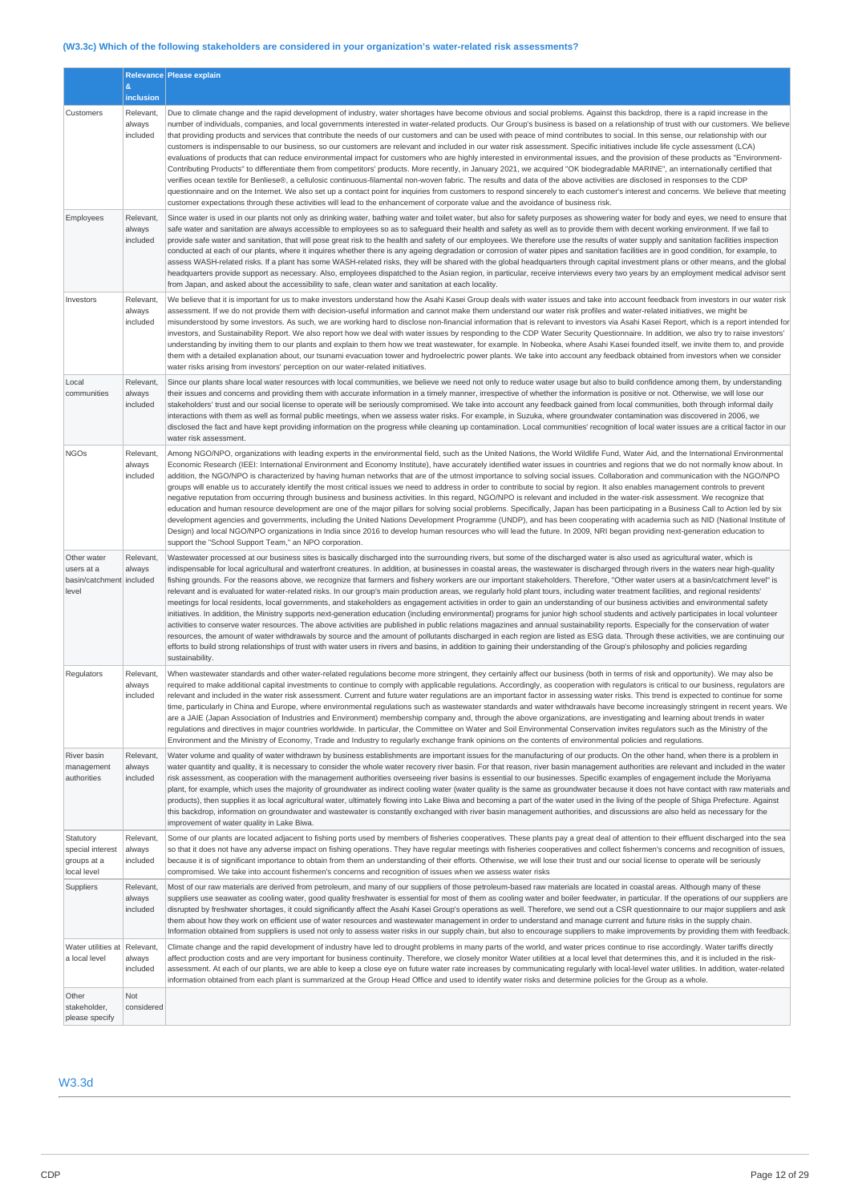# **(W3.3c) Which of the following stakeholders are considered in your organization's water-related risk assessments?**

|                                                                |                                 | Relevance Please explain                                                                                                                                                                                                                                                                                                                                                                                                                                                                                                                                                                                                                                                                                                                                                                                                                                                                                                                                                                                                                                                                                                                                                                                                                                                                                                                                                                                                                                                                                                                                                                                                                                                                                                        |
|----------------------------------------------------------------|---------------------------------|---------------------------------------------------------------------------------------------------------------------------------------------------------------------------------------------------------------------------------------------------------------------------------------------------------------------------------------------------------------------------------------------------------------------------------------------------------------------------------------------------------------------------------------------------------------------------------------------------------------------------------------------------------------------------------------------------------------------------------------------------------------------------------------------------------------------------------------------------------------------------------------------------------------------------------------------------------------------------------------------------------------------------------------------------------------------------------------------------------------------------------------------------------------------------------------------------------------------------------------------------------------------------------------------------------------------------------------------------------------------------------------------------------------------------------------------------------------------------------------------------------------------------------------------------------------------------------------------------------------------------------------------------------------------------------------------------------------------------------|
|                                                                | &<br>inclusion                  |                                                                                                                                                                                                                                                                                                                                                                                                                                                                                                                                                                                                                                                                                                                                                                                                                                                                                                                                                                                                                                                                                                                                                                                                                                                                                                                                                                                                                                                                                                                                                                                                                                                                                                                                 |
| Customers                                                      | Relevant,                       | Due to climate change and the rapid development of industry, water shortages have become obvious and social problems. Against this backdrop, there is a rapid increase in the                                                                                                                                                                                                                                                                                                                                                                                                                                                                                                                                                                                                                                                                                                                                                                                                                                                                                                                                                                                                                                                                                                                                                                                                                                                                                                                                                                                                                                                                                                                                                   |
|                                                                | always<br>included              | number of individuals, companies, and local governments interested in water-related products. Our Group's business is based on a relationship of trust with our customers. We believe<br>that providing products and services that contribute the needs of our customers and can be used with peace of mind contributes to social. In this sense, our relationship with our<br>customers is indispensable to our business, so our customers are relevant and included in our water risk assessment. Specific initiatives include life cycle assessment (LCA)<br>evaluations of products that can reduce environmental impact for customers who are highly interested in environmental issues, and the provision of these products as "Environment-<br>Contributing Products" to differentiate them from competitors' products. More recently, in January 2021, we acquired "OK biodegradable MARINE", an internationally certified that<br>verifies ocean textile for Benliese®, a cellulosic continuous-filamental non-woven fabric. The results and data of the above activities are disclosed in responses to the CDP<br>questionnaire and on the Internet. We also set up a contact point for inquiries from customers to respond sincerely to each customer's interest and concerns. We believe that meeting<br>customer expectations through these activities will lead to the enhancement of corporate value and the avoidance of business risk.                                                                                                                                                                                                                                                                         |
| Employees                                                      | Relevant,<br>always<br>included | Since water is used in our plants not only as drinking water, bathing water and toilet water, but also for safety purposes as showering water for body and eyes, we need to ensure that<br>safe water and sanitation are always accessible to employees so as to safeguard their health and safety as well as to provide them with decent working environment. If we fail to<br>provide safe water and sanitation, that will pose great risk to the health and safety of our employees. We therefore use the results of water supply and sanitation facilities inspection<br>conducted at each of our plants, where it inquires whether there is any ageing degradation or corrosion of water pipes and sanitation facilities are in good condition, for example, to<br>assess WASH-related risks. If a plant has some WASH-related risks, they will be shared with the global headquarters through capital investment plans or other means, and the global<br>headquarters provide support as necessary. Also, employees dispatched to the Asian region, in particular, receive interviews every two years by an employment medical advisor sent<br>from Japan, and asked about the accessibility to safe, clean water and sanitation at each locality.                                                                                                                                                                                                                                                                                                                                                                                                                                                                        |
| Investors                                                      | Relevant,<br>always<br>included | We believe that it is important for us to make investors understand how the Asahi Kasei Group deals with water issues and take into account feedback from investors in our water risk<br>assessment. If we do not provide them with decision-useful information and cannot make them understand our water risk profiles and water-related initiatives, we might be<br>misunderstood by some investors. As such, we are working hard to disclose non-financial information that is relevant to investors via Asahi Kasei Report, which is a report intended for<br>investors, and Sustainability Report. We also report how we deal with water issues by responding to the CDP Water Security Questionnaire. In addition, we also try to raise investors'<br>understanding by inviting them to our plants and explain to them how we treat wastewater, for example. In Nobeoka, where Asahi Kasei founded itself, we invite them to, and provide<br>them with a detailed explanation about, our tsunami evacuation tower and hydroelectric power plants. We take into account any feedback obtained from investors when we consider<br>water risks arising from investors' perception on our water-related initiatives.                                                                                                                                                                                                                                                                                                                                                                                                                                                                                                          |
| Local<br>communities                                           | Relevant,<br>always<br>included | Since our plants share local water resources with local communities, we believe we need not only to reduce water usage but also to build confidence among them, by understanding<br>their issues and concerns and providing them with accurate information in a timely manner, irrespective of whether the information is positive or not. Otherwise, we will lose our<br>stakeholders' trust and our social license to operate will be seriously compromised. We take into account any feedback gained from local communities, both through informal daily<br>interactions with them as well as formal public meetings, when we assess water risks. For example, in Suzuka, where groundwater contamination was discovered in 2006, we<br>disclosed the fact and have kept providing information on the progress while cleaning up contamination. Local communities' recognition of local water issues are a critical factor in our<br>water risk assessment.                                                                                                                                                                                                                                                                                                                                                                                                                                                                                                                                                                                                                                                                                                                                                                  |
| <b>NGOs</b>                                                    | Relevant,<br>always<br>included | Among NGO/NPO, organizations with leading experts in the environmental field, such as the United Nations, the World Wildlife Fund, Water Aid, and the International Environmental<br>Economic Research (IEEI: International Environment and Economy Institute), have accurately identified water issues in countries and regions that we do not normally know about. In<br>addition, the NGO/NPO is characterized by having human networks that are of the utmost importance to solving social issues. Collaboration and communication with the NGO/NPO<br>groups will enable us to accurately identify the most critical issues we need to address in order to contribute to social by region. It also enables management controls to prevent<br>negative reputation from occurring through business and business activities. In this regard, NGO/NPO is relevant and included in the water-risk assessment. We recognize that<br>education and human resource development are one of the major pillars for solving social problems. Specifically, Japan has been participating in a Business Call to Action led by six<br>development agencies and governments, including the United Nations Development Programme (UNDP), and has been cooperating with academia such as NID (National Institute of<br>Design) and local NGO/NPO organizations in India since 2016 to develop human resources who will lead the future. In 2009, NRI began providing next-generation education to<br>support the "School Support Team," an NPO corporation.                                                                                                                                                                                  |
| Other water<br>users at a<br>basin/catchment included<br>level | Relevant,<br>always             | Wastewater processed at our business sites is basically discharged into the surrounding rivers, but some of the discharged water is also used as agricultural water, which is<br>indispensable for local agricultural and waterfront creatures. In addition, at businesses in coastal areas, the wastewater is discharged through rivers in the waters near high-quality<br>fishing grounds. For the reasons above, we recognize that farmers and fishery workers are our important stakeholders. Therefore, "Other water users at a basin/catchment level" is<br>relevant and is evaluated for water-related risks. In our group's main production areas, we regularly hold plant tours, including water treatment facilities, and regional residents'<br>meetings for local residents, local governments, and stakeholders as engagement activities in order to gain an understanding of our business activities and environmental safety<br>initiatives. In addition, the Ministry supports next-generation education (including environmental) programs for junior high school students and actively participates in local volunteer<br>activities to conserve water resources. The above activities are published in public relations magazines and annual sustainability reports. Especially for the conservation of water<br>resources, the amount of water withdrawals by source and the amount of pollutants discharged in each region are listed as ESG data. Through these activities, we are continuing our<br>efforts to build strong relationships of trust with water users in rivers and basins, in addition to gaining their understanding of the Group's philosophy and policies regarding<br>sustainability. |
| Regulators                                                     | Relevant,<br>always<br>included | When wastewater standards and other water-related regulations become more stringent, they certainly affect our business (both in terms of risk and opportunity). We may also be<br>required to make additional capital investments to continue to comply with applicable requlations. Accordingly, as cooperation with requlators is critical to our business, requlators are<br>relevant and included in the water risk assessment. Current and future water regulations are an important factor in assessing water risks. This trend is expected to continue for some<br>time, particularly in China and Europe, where environmental regulations such as wastewater standards and water withdrawals have become increasingly stringent in recent years. We<br>are a JAIE (Japan Association of Industries and Environment) membership company and, through the above organizations, are investigating and learning about trends in water<br>regulations and directives in major countries worldwide. In particular, the Committee on Water and Soil Environmental Conservation invites regulators such as the Ministry of the<br>Environment and the Ministry of Economy, Trade and Industry to regularly exchange frank opinions on the contents of environmental policies and regulations.                                                                                                                                                                                                                                                                                                                                                                                                                                  |
| River basin<br>management<br>authorities                       | Relevant,<br>always<br>included | Water volume and quality of water withdrawn by business establishments are important issues for the manufacturing of our products. On the other hand, when there is a problem in<br>water quantity and quality, it is necessary to consider the whole water recovery river basin. For that reason, river basin management authorities are relevant and included in the water<br>risk assessment, as cooperation with the management authorities overseeing river basins is essential to our businesses. Specific examples of engagement include the Moriyama<br>plant, for example, which uses the majority of groundwater as indirect cooling water (water quality is the same as groundwater because it does not have contact with raw materials and<br>products), then supplies it as local agricultural water, ultimately flowing into Lake Biwa and becoming a part of the water used in the living of the people of Shiga Prefecture. Against<br>this backdrop, information on groundwater and wastewater is constantly exchanged with river basin management authorities, and discussions are also held as necessary for the<br>improvement of water quality in Lake Biwa.                                                                                                                                                                                                                                                                                                                                                                                                                                                                                                                                               |
| Statutory<br>special interest<br>groups at a<br>local level    | Relevant,<br>always<br>included | Some of our plants are located adjacent to fishing ports used by members of fisheries cooperatives. These plants pay a great deal of attention to their effluent discharged into the sea<br>so that it does not have any adverse impact on fishing operations. They have regular meetings with fisheries cooperatives and collect fishermen's concerns and recognition of issues,<br>because it is of significant importance to obtain from them an understanding of their efforts. Otherwise, we will lose their trust and our social license to operate will be seriously<br>compromised. We take into account fishermen's concerns and recognition of issues when we assess water risks                                                                                                                                                                                                                                                                                                                                                                                                                                                                                                                                                                                                                                                                                                                                                                                                                                                                                                                                                                                                                                      |
| Suppliers                                                      | Relevant,<br>always<br>included | Most of our raw materials are derived from petroleum, and many of our suppliers of those petroleum-based raw materials are located in coastal areas. Although many of these<br>suppliers use seawater as cooling water, good quality freshwater is essential for most of them as cooling water and boiler feedwater, in particular. If the operations of our suppliers are<br>disrupted by freshwater shortages, it could significantly affect the Asahi Kasei Group's operations as well. Therefore, we send out a CSR questionnaire to our major suppliers and ask<br>them about how they work on efficient use of water resources and wastewater management in order to understand and manage current and future risks in the supply chain.<br>Information obtained from suppliers is used not only to assess water risks in our supply chain, but also to encourage suppliers to make improvements by providing them with feedback.                                                                                                                                                                                                                                                                                                                                                                                                                                                                                                                                                                                                                                                                                                                                                                                         |
| Water utilities at<br>a local level                            | Relevant,<br>always<br>included | Climate change and the rapid development of industry have led to drought problems in many parts of the world, and water prices continue to rise accordingly. Water tariffs directly<br>affect production costs and are very important for business continuity. Therefore, we closely monitor Water utilities at a local level that determines this, and it is included in the risk-<br>assessment. At each of our plants, we are able to keep a close eye on future water rate increases by communicating regularly with local-level water utilities. In addition, water-related<br>information obtained from each plant is summarized at the Group Head Office and used to identify water risks and determine policies for the Group as a whole.                                                                                                                                                                                                                                                                                                                                                                                                                                                                                                                                                                                                                                                                                                                                                                                                                                                                                                                                                                               |
| Other<br>stakeholder,<br>please specify                        | Not<br>considered               |                                                                                                                                                                                                                                                                                                                                                                                                                                                                                                                                                                                                                                                                                                                                                                                                                                                                                                                                                                                                                                                                                                                                                                                                                                                                                                                                                                                                                                                                                                                                                                                                                                                                                                                                 |

# W3.3d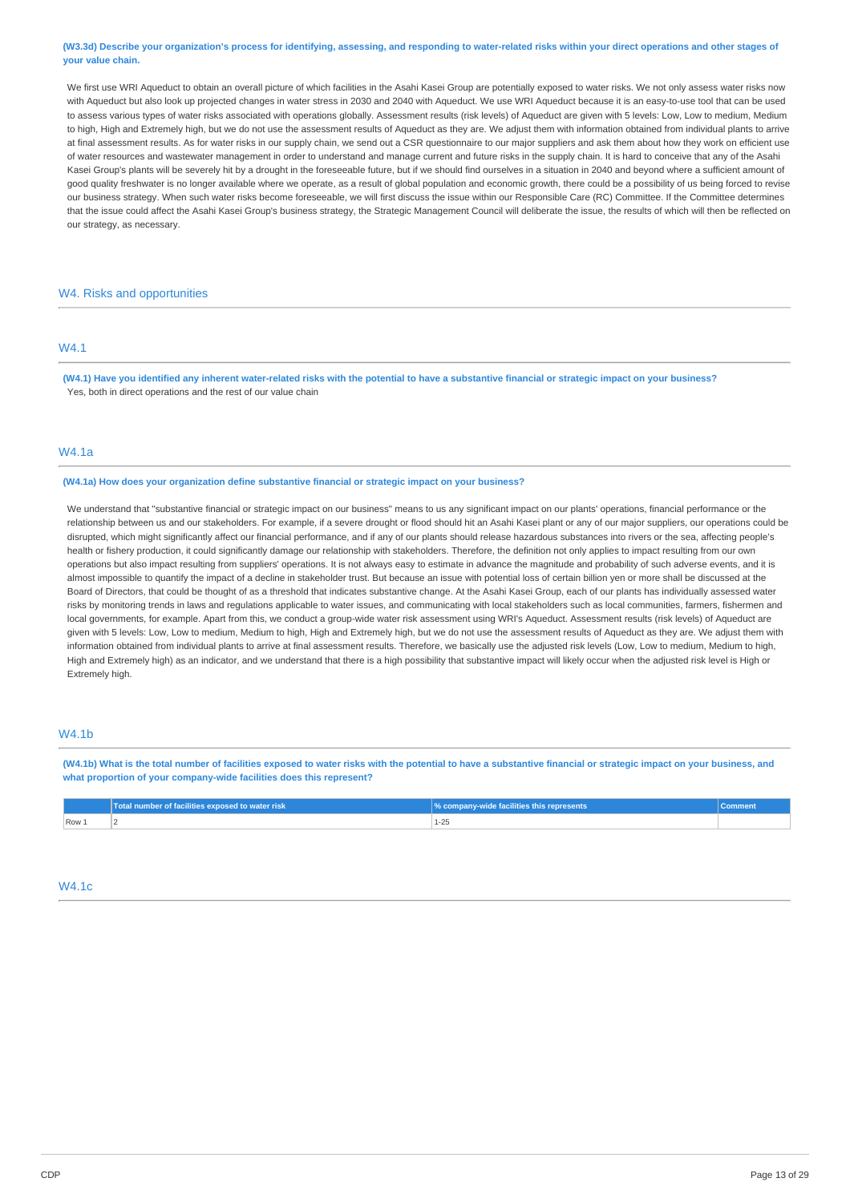### (W3.3d) Describe your organization's process for identifying, assessing, and responding to water-related risks within your direct operations and other stages of **your value chain.**

We first use WRI Aqueduct to obtain an overall picture of which facilities in the Asahi Kasei Group are potentially exposed to water risks. We not only assess water risks now with Aqueduct but also look up projected changes in water stress in 2030 and 2040 with Aqueduct. We use WRI Aqueduct because it is an easy-to-use tool that can be used to assess various types of water risks associated with operations globally. Assessment results (risk levels) of Aqueduct are given with 5 levels: Low, Low to medium, Medium to high, High and Extremely high, but we do not use the assessment results of Aqueduct as they are. We adjust them with information obtained from individual plants to arrive at final assessment results. As for water risks in our supply chain, we send out a CSR questionnaire to our major suppliers and ask them about how they work on efficient use of water resources and wastewater management in order to understand and manage current and future risks in the supply chain. It is hard to conceive that any of the Asahi Kasei Group's plants will be severely hit by a drought in the foreseeable future, but if we should find ourselves in a situation in 2040 and beyond where a sufficient amount of good quality freshwater is no longer available where we operate, as a result of global population and economic growth, there could be a possibility of us being forced to revise our business strategy. When such water risks become foreseeable, we will first discuss the issue within our Responsible Care (RC) Committee. If the Committee determines that the issue could affect the Asahi Kasei Group's business strategy, the Strategic Management Council will deliberate the issue, the results of which will then be reflected on our strategy, as necessary.

# W4. Risks and opportunities

# W4.1

(W4.1) Have you identified any inherent water-related risks with the potential to have a substantive financial or strategic impact on your business? Yes, both in direct operations and the rest of our value chain

### W4.1a

**(W4.1a) How does your organization define substantive financial or strategic impact on your business?**

We understand that "substantive financial or strategic impact on our business" means to us any significant impact on our plants' operations, financial performance or the relationship between us and our stakeholders. For example, if a severe drought or flood should hit an Asahi Kasei plant or any of our major suppliers, our operations could be disrupted, which might significantly affect our financial performance, and if any of our plants should release hazardous substances into rivers or the sea, affecting people's health or fishery production, it could significantly damage our relationship with stakeholders. Therefore, the definition not only applies to impact resulting from our own operations but also impact resulting from suppliers' operations. It is not always easy to estimate in advance the magnitude and probability of such adverse events, and it is almost impossible to quantify the impact of a decline in stakeholder trust. But because an issue with potential loss of certain billion yen or more shall be discussed at the Board of Directors, that could be thought of as a threshold that indicates substantive change. At the Asahi Kasei Group, each of our plants has individually assessed water risks by monitoring trends in laws and regulations applicable to water issues, and communicating with local stakeholders such as local communities, farmers, fishermen and local governments, for example. Apart from this, we conduct a group-wide water risk assessment using WRI's Aqueduct. Assessment results (risk levels) of Aqueduct are given with 5 levels: Low, Low to medium, Medium to high, High and Extremely high, but we do not use the assessment results of Aqueduct as they are. We adjust them with information obtained from individual plants to arrive at final assessment results. Therefore, we basically use the adjusted risk levels (Low, Low to medium, Medium to high, High and Extremely high) as an indicator, and we understand that there is a high possibility that substantive impact will likely occur when the adjusted risk level is High or Extremely high.

# W4.1b

(W4.1b) What is the total number of facilities exposed to water risks with the potential to have a substantive financial or strategic impact on your business, and **what proportion of your company-wide facilities does this represent?**

|       | Total number of facilities exposed to water risk | % company-wide facilities this represents |  |
|-------|--------------------------------------------------|-------------------------------------------|--|
| Row 1 |                                                  |                                           |  |

# W4.1c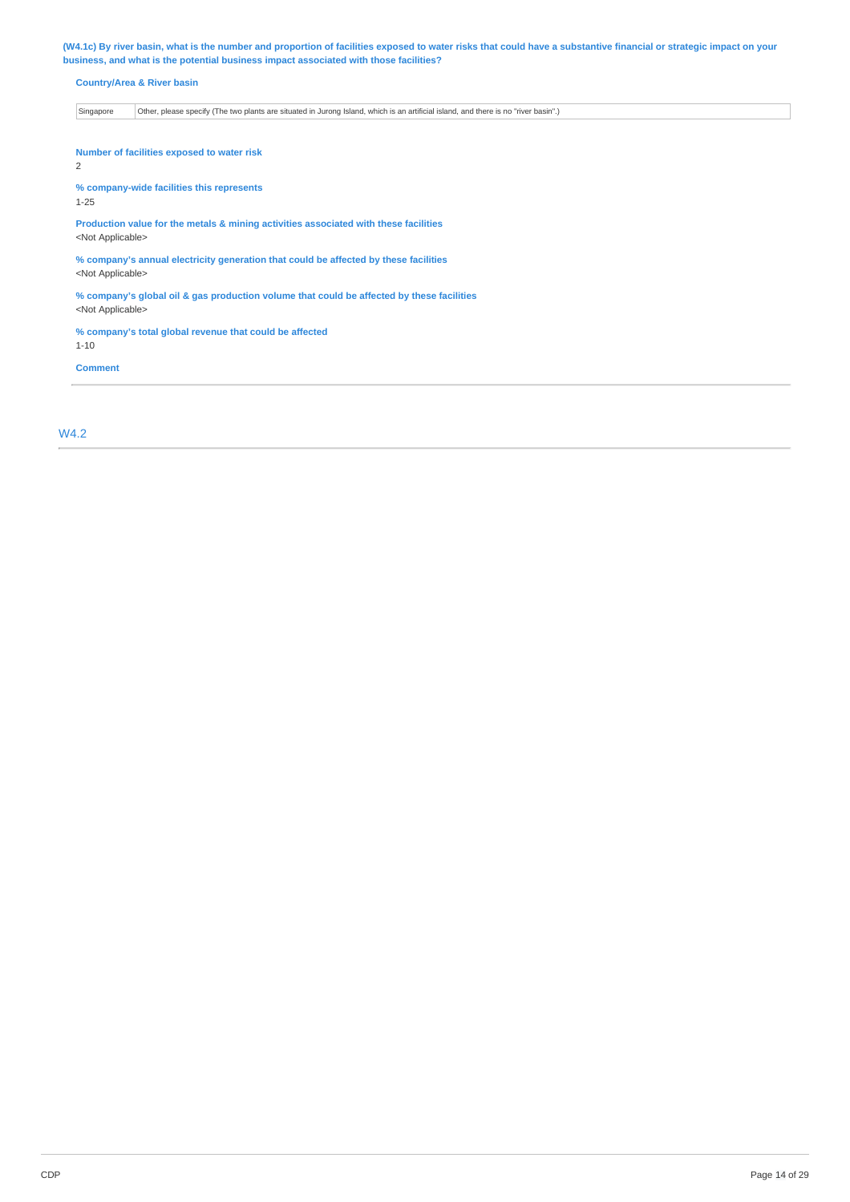(W4.1c) By river basin, what is the number and proportion of facilities exposed to water risks that could have a substantive financial or strategic impact on your **business, and what is the potential business impact associated with those facilities?**

| Singapore | Other, please specify (The two plants are situated in Jurong Island, which is an artificial island, and there is no "river basin".) |
|-----------|-------------------------------------------------------------------------------------------------------------------------------------|
|-----------|-------------------------------------------------------------------------------------------------------------------------------------|

2

**% company-wide facilities this represents**

1-25

**Production value for the metals & mining activities associated with these facilities** <Not Applicable>

**% company's annual electricity generation that could be affected by these facilities** <Not Applicable>

**% company's global oil & gas production volume that could be affected by these facilities** <Not Applicable>

**% company's total global revenue that could be affected** 1-10

**Comment**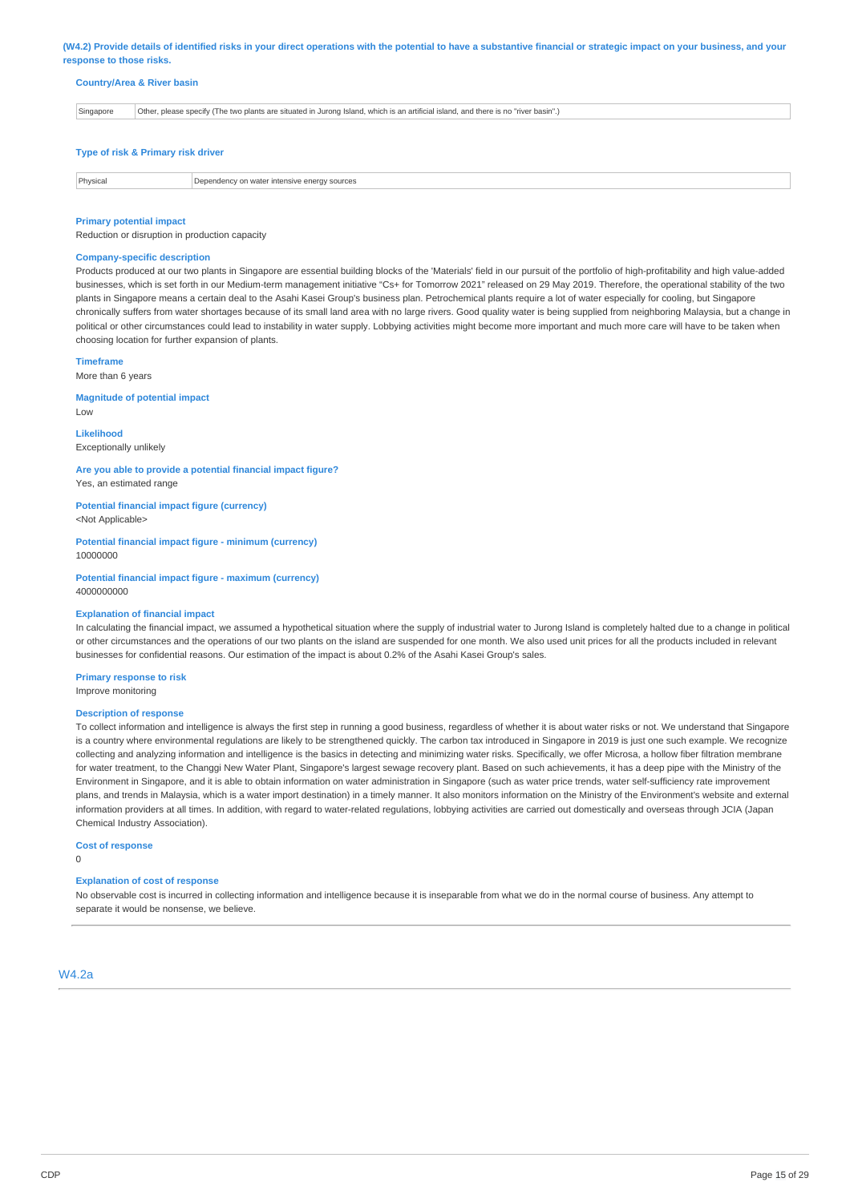(W4.2) Provide details of identified risks in your direct operations with the potential to have a substantive financial or strategic impact on your business, and your **response to those risks.**

#### **Country/Area & River basin**

|  | Singapore | Other, please specify (The two plants are situated in Jurong Island, which is an artificial island, and there is no "river basin".) |
|--|-----------|-------------------------------------------------------------------------------------------------------------------------------------|
|--|-----------|-------------------------------------------------------------------------------------------------------------------------------------|

### **Type of risk & Primary risk driver**

**Physical Dependency on water intensive energy sources** 

#### **Primary potential impact**

Reduction or disruption in production capacity

#### **Company-specific description**

Products produced at our two plants in Singapore are essential building blocks of the 'Materials' field in our pursuit of the portfolio of high-profitability and high value-added businesses, which is set forth in our Medium-term management initiative "Cs+ for Tomorrow 2021" released on 29 May 2019. Therefore, the operational stability of the two plants in Singapore means a certain deal to the Asahi Kasei Group's business plan. Petrochemical plants require a lot of water especially for cooling, but Singapore chronically suffers from water shortages because of its small land area with no large rivers. Good quality water is being supplied from neighboring Malaysia, but a change in political or other circumstances could lead to instability in water supply. Lobbying activities might become more important and much more care will have to be taken when choosing location for further expansion of plants.

# **Timeframe**

Low

More than 6 years

**Magnitude of potential impact**

**Likelihood** Exceptionally unlikely

### **Are you able to provide a potential financial impact figure?** Yes, an estimated range

**Potential financial impact figure (currency)** <Not Applicable>

**Potential financial impact figure - minimum (currency)** 10000000

**Potential financial impact figure - maximum (currency)** 4000000000

### **Explanation of financial impact**

In calculating the financial impact, we assumed a hypothetical situation where the supply of industrial water to Jurong Island is completely halted due to a change in political or other circumstances and the operations of our two plants on the island are suspended for one month. We also used unit prices for all the products included in relevant businesses for confidential reasons. Our estimation of the impact is about 0.2% of the Asahi Kasei Group's sales.

**Primary response to risk**

Improve monitoring

#### **Description of response**

To collect information and intelligence is always the first step in running a good business, regardless of whether it is about water risks or not. We understand that Singapore is a country where environmental regulations are likely to be strengthened quickly. The carbon tax introduced in Singapore in 2019 is just one such example. We recognize collecting and analyzing information and intelligence is the basics in detecting and minimizing water risks. Specifically, we offer Microsa, a hollow fiber filtration membrane for water treatment, to the Changgi New Water Plant, Singapore's largest sewage recovery plant. Based on such achievements, it has a deep pipe with the Ministry of the Environment in Singapore, and it is able to obtain information on water administration in Singapore (such as water price trends, water self-sufficiency rate improvement plans, and trends in Malaysia, which is a water import destination) in a timely manner. It also monitors information on the Ministry of the Environment's website and external information providers at all times. In addition, with regard to water-related regulations, lobbying activities are carried out domestically and overseas through JCIA (Japan Chemical Industry Association).

#### **Cost of response**

 $\Omega$ 

#### **Explanation of cost of response**

No observable cost is incurred in collecting information and intelligence because it is inseparable from what we do in the normal course of business. Any attempt to separate it would be nonsense, we believe.

# W4.2a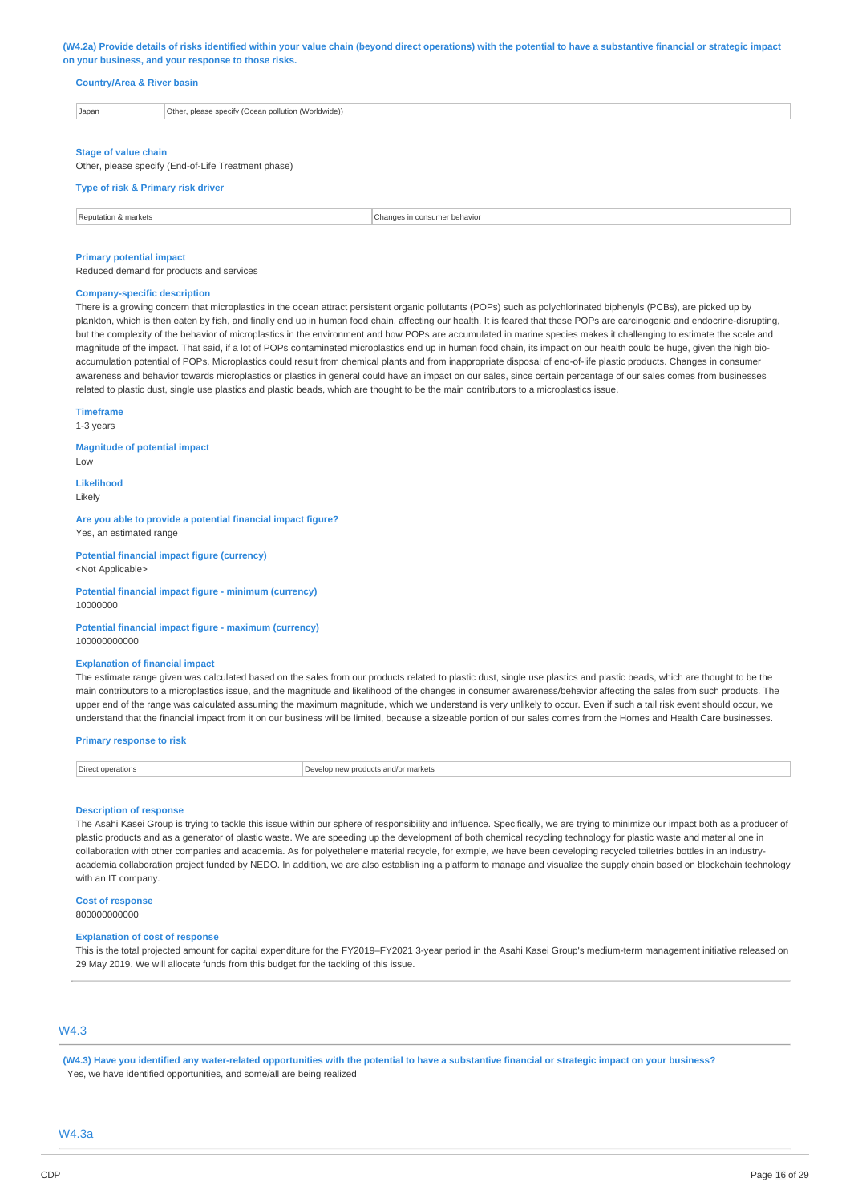#### (W4.2a) Provide details of risks identified within your value chain (beyond direct operations) with the potential to have a substantive financial or strategic impact **on your business, and your response to those risks.**

### **Country/Area & River basin**

| Japan | Other, please specify (Ocean pollution (Worldwide))<br>. |  |  |
|-------|----------------------------------------------------------|--|--|
|-------|----------------------------------------------------------|--|--|

#### **Stage of value chain**

Other, please specify (End-of-Life Treatment phase)

#### **Type of risk & Primary risk driver**

| Reputation & markets | consumer behavior<br>i in<br>changes<br>. |
|----------------------|-------------------------------------------|

#### **Primary potential impact**

Reduced demand for products and services

### **Company-specific description**

There is a growing concern that microplastics in the ocean attract persistent organic pollutants (POPs) such as polychlorinated biphenyls (PCBs), are picked up by plankton, which is then eaten by fish, and finally end up in human food chain, affecting our health. It is feared that these POPs are carcinogenic and endocrine-disrupting, but the complexity of the behavior of microplastics in the environment and how POPs are accumulated in marine species makes it challenging to estimate the scale and magnitude of the impact. That said, if a lot of POPs contaminated microplastics end up in human food chain, its impact on our health could be huge, given the high bioaccumulation potential of POPs. Microplastics could result from chemical plants and from inappropriate disposal of end-of-life plastic products. Changes in consumer awareness and behavior towards microplastics or plastics in general could have an impact on our sales, since certain percentage of our sales comes from businesses related to plastic dust, single use plastics and plastic beads, which are thought to be the main contributors to a microplastics issue.

### **Timeframe**

1-3 years

### **Magnitude of potential impact**

Low

**Likelihood** Likely

**Are you able to provide a potential financial impact figure?** Yes, an estimated range

**Potential financial impact figure (currency)** <Not Applicable>

**Potential financial impact figure - minimum (currency)** 10000000

#### **Potential financial impact figure - maximum (currency)** 100000000000

#### **Explanation of financial impact**

The estimate range given was calculated based on the sales from our products related to plastic dust, single use plastics and plastic beads, which are thought to be the main contributors to a microplastics issue, and the magnitude and likelihood of the changes in consumer awareness/behavior affecting the sales from such products. The upper end of the range was calculated assuming the maximum magnitude, which we understand is very unlikely to occur. Even if such a tail risk event should occur, we understand that the financial impact from it on our business will be limited, because a sizeable portion of our sales comes from the Homes and Health Care businesses.

### **Primary response to risk**

Direct operations **Direct operations** Develop new products and/or markets

#### **Description of response**

The Asahi Kasei Group is trying to tackle this issue within our sphere of responsibility and influence. Specifically, we are trying to minimize our impact both as a producer of plastic products and as a generator of plastic waste. We are speeding up the development of both chemical recycling technology for plastic waste and material one in collaboration with other companies and academia. As for polyethelene material recycle, for exmple, we have been developing recycled toiletries bottles in an industryacademia collaboration project funded by NEDO. In addition, we are also establish ing a platform to manage and visualize the supply chain based on blockchain technology with an IT company.

# **Cost of response**

# 800000000000

### **Explanation of cost of response**

This is the total projected amount for capital expenditure for the FY2019–FY2021 3-year period in the Asahi Kasei Group's medium-term management initiative released on 29 May 2019. We will allocate funds from this budget for the tackling of this issue.

# W4.3

(W4.3) Have you identified any water-related opportunities with the potential to have a substantive financial or strategic impact on your business? Yes, we have identified opportunities, and some/all are being realized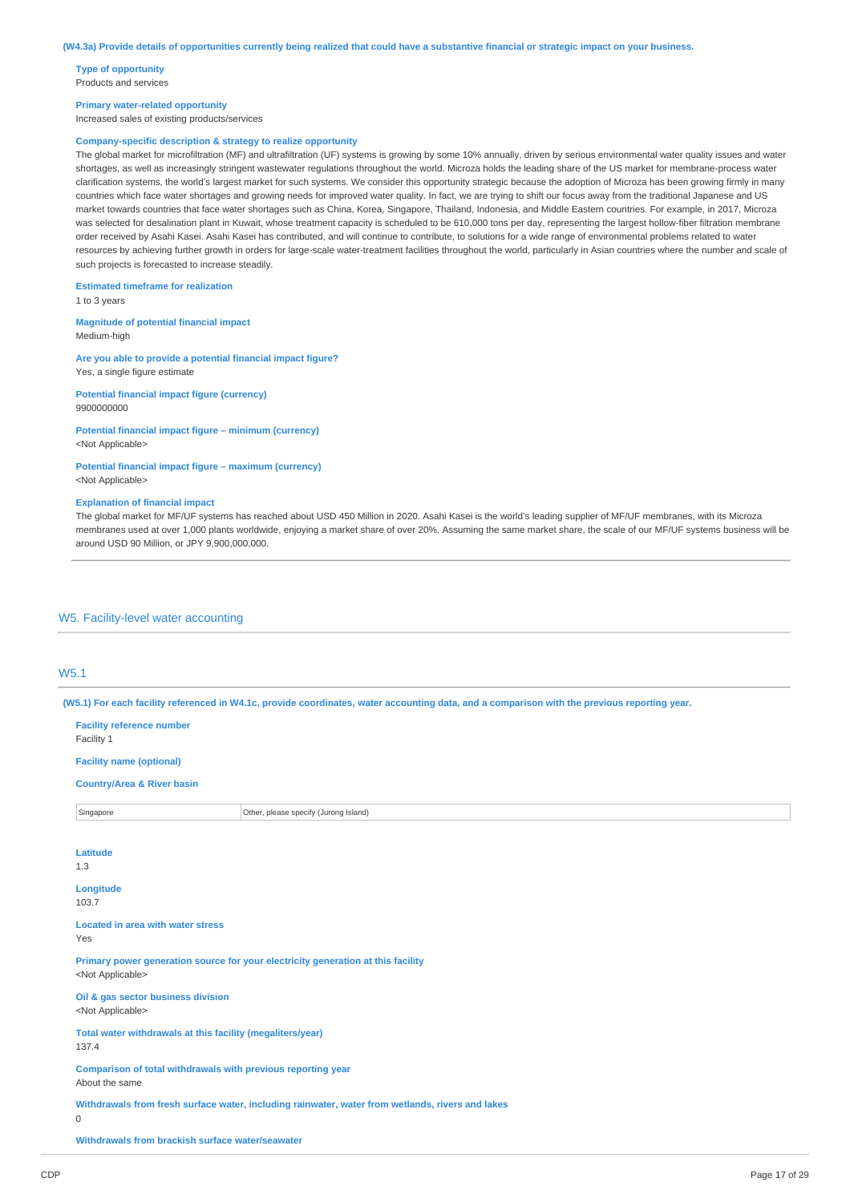**Type of opportunity** Products and services

#### **Primary water-related opportunity**

Increased sales of existing products/services

### **Company-specific description & strategy to realize opportunity**

The global market for microfiltration (MF) and ultrafiltration (UF) systems is growing by some 10% annually, driven by serious environmental water quality issues and water shortages, as well as increasingly stringent wastewater regulations throughout the world. Microza holds the leading share of the US market for membrane-process water clarification systems, the world's largest market for such systems. We consider this opportunity strategic because the adoption of Microza has been growing firmly in many countries which face water shortages and growing needs for improved water quality. In fact, we are trying to shift our focus away from the traditional Japanese and US market towards countries that face water shortages such as China, Korea, Singapore, Thailand, Indonesia, and Middle Eastern countries. For example, in 2017, Microza was selected for desalination plant in Kuwait, whose treatment capacity is scheduled to be 610,000 tons per day, representing the largest hollow-fiber filtration membrane order received by Asahi Kasei. Asahi Kasei has contributed, and will continue to contribute, to solutions for a wide range of environmental problems related to water resources by achieving further growth in orders for large-scale water-treatment facilities throughout the world, particularly in Asian countries where the number and scale of such projects is forecasted to increase steadily.

#### **Estimated timeframe for realization**

1 to 3 years

#### **Magnitude of potential financial impact** Medium-high

**Are you able to provide a potential financial impact figure?**

Yes, a single figure estimate **Potential financial impact figure (currency)**

9900000000

### **Potential financial impact figure – minimum (currency)** <Not Applicable>

**Potential financial impact figure – maximum (currency)** <Not Applicable>

#### **Explanation of financial impact**

The global market for MF/UF systems has reached about USD 450 Million in 2020. Asahi Kasei is the world's leading supplier of MF/UF membranes, with its Microza membranes used at over 1,000 plants worldwide, enjoying a market share of over 20%. Assuming the same market share, the scale of our MF/UF systems business will be around USD 90 Million, or JPY 9,900,000,000.

# W5. Facility-level water accounting

# W5.1

(W5.1) For each facility referenced in W4.1c, provide coordinates, water accounting data, and a comparison with the previous reporting year.

| <b>Facility reference number</b><br>Facility 1                                                                          |                                                                                  |  |  |
|-------------------------------------------------------------------------------------------------------------------------|----------------------------------------------------------------------------------|--|--|
| <b>Facility name (optional)</b>                                                                                         |                                                                                  |  |  |
| <b>Country/Area &amp; River basin</b>                                                                                   |                                                                                  |  |  |
| Other, please specify (Jurong Island)<br>Singapore                                                                      |                                                                                  |  |  |
|                                                                                                                         |                                                                                  |  |  |
| Latitude<br>1.3                                                                                                         |                                                                                  |  |  |
| Longitude<br>103.7                                                                                                      |                                                                                  |  |  |
| <b>Located in area with water stress</b><br>Yes                                                                         |                                                                                  |  |  |
| <not applicable=""></not>                                                                                               | Primary power generation source for your electricity generation at this facility |  |  |
| Oil & gas sector business division<br><not applicable=""></not>                                                         |                                                                                  |  |  |
| Total water withdrawals at this facility (megaliters/year)<br>137.4                                                     |                                                                                  |  |  |
| Comparison of total withdrawals with previous reporting year<br>About the same                                          |                                                                                  |  |  |
| Withdrawals from fresh surface water, including rainwater, water from wetlands, rivers and lakes<br>$\mathsf{O}\xspace$ |                                                                                  |  |  |
| Withdrawals from brackish surface water/seawater                                                                        |                                                                                  |  |  |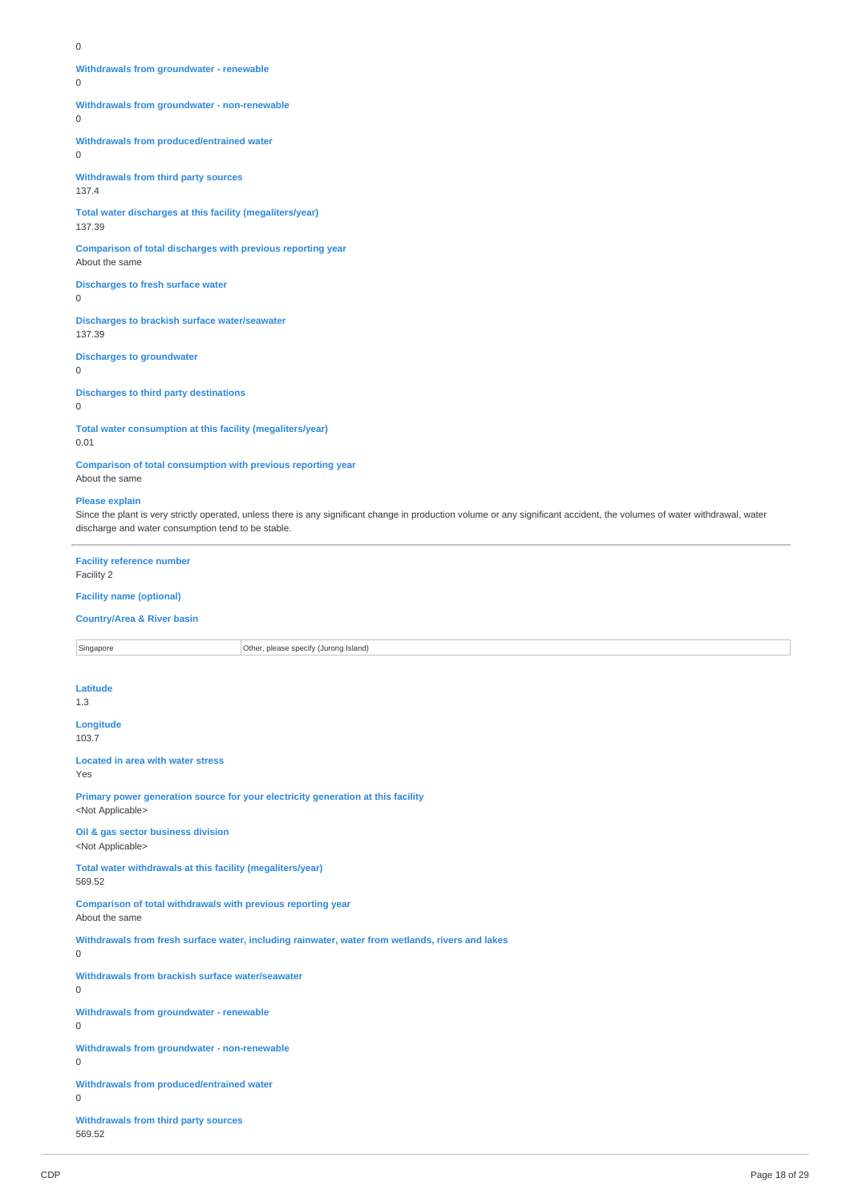$\Omega$ 

# **Withdrawals from groundwater - renewable**

 $\Omega$ 

**Withdrawals from groundwater - non-renewable**

 $\Omega$ 

**Withdrawals from produced/entrained water**

0

**Withdrawals from third party sources** 137.4

**Total water discharges at this facility (megaliters/year)** 137.39

**Comparison of total discharges with previous reporting year** About the same

**Discharges to fresh surface water**

 $\Omega$ 

**Discharges to brackish surface water/seawater** 137.39

**Discharges to groundwater**

 $\Omega$ 

**Discharges to third party destinations**

 $\Omega$ 

**Total water consumption at this facility (megaliters/year)** 0.01

**Comparison of total consumption with previous reporting year** About the same

### **Please explain**

Since the plant is very strictly operated, unless there is any significant change in production volume or any significant accident, the volumes of water withdrawal, water discharge and water consumption tend to be stable.

**Facility reference number** Facility 2

**Facility name (optional)**

**Country/Area & River basin**

Singapore **Other, please specify (Jurong Island) Latitude** 1.3 **Longitude** 103.7 **Located in area with water stress** Yes **Primary power generation source for your electricity generation at this facility** <Not Applicable> **Oil & gas sector business division** <Not Applicable> **Total water withdrawals at this facility (megaliters/year)** 569.52 **Comparison of total withdrawals with previous reporting year** About the same **Withdrawals from fresh surface water, including rainwater, water from wetlands, rivers and lakes** 0 **Withdrawals from brackish surface water/seawater**  $\overline{0}$ **Withdrawals from groundwater - renewable** 0 **Withdrawals from groundwater - non-renewable** 0 **Withdrawals from produced/entrained water** 0 **Withdrawals from third party sources** 569.52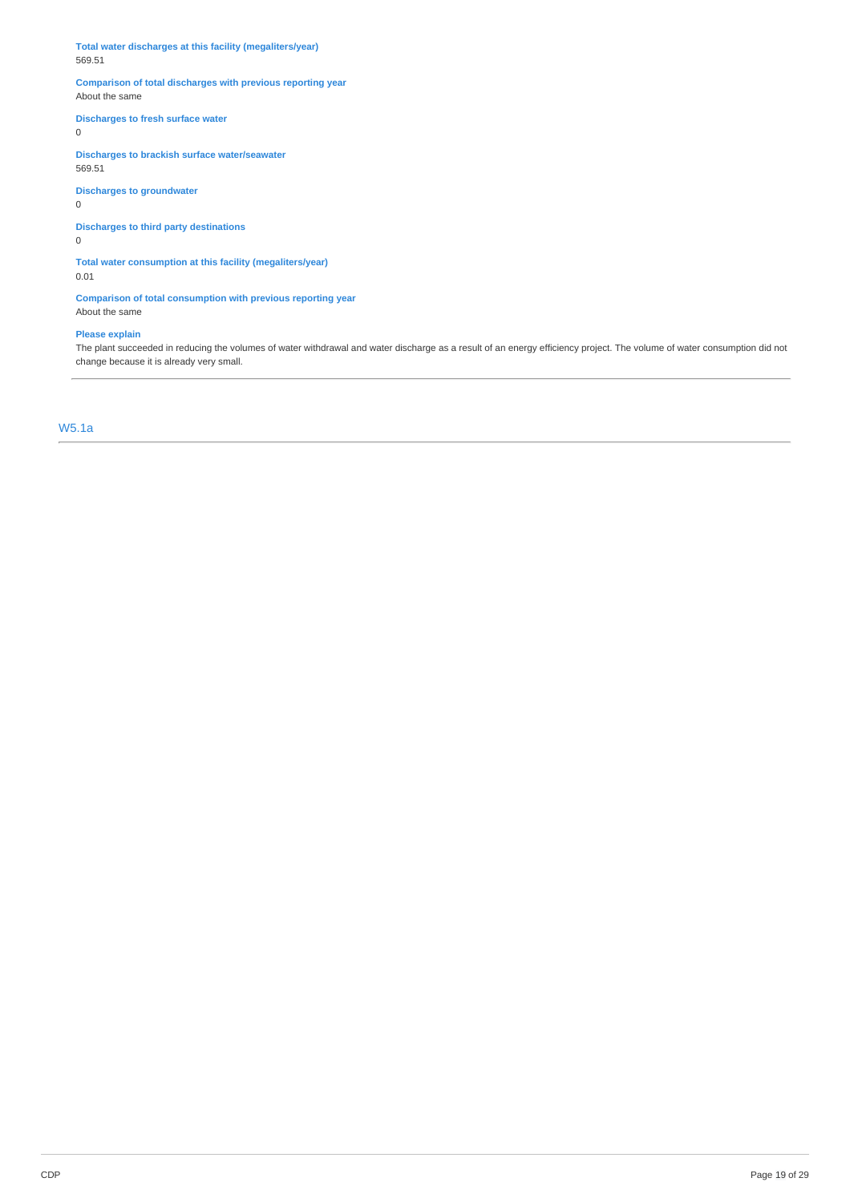**Total water discharges at this facility (megaliters/year)** 569.51

# **Comparison of total discharges with previous reporting year** About the same

# **Discharges to fresh surface water**

0

**Discharges to brackish surface water/seawater** 569.51

**Discharges to groundwater**

0

# **Discharges to third party destinations**

0

**Total water consumption at this facility (megaliters/year)** 0.01

**Comparison of total consumption with previous reporting year** About the same

# **Please explain**

The plant succeeded in reducing the volumes of water withdrawal and water discharge as a result of an energy efficiency project. The volume of water consumption did not change because it is already very small.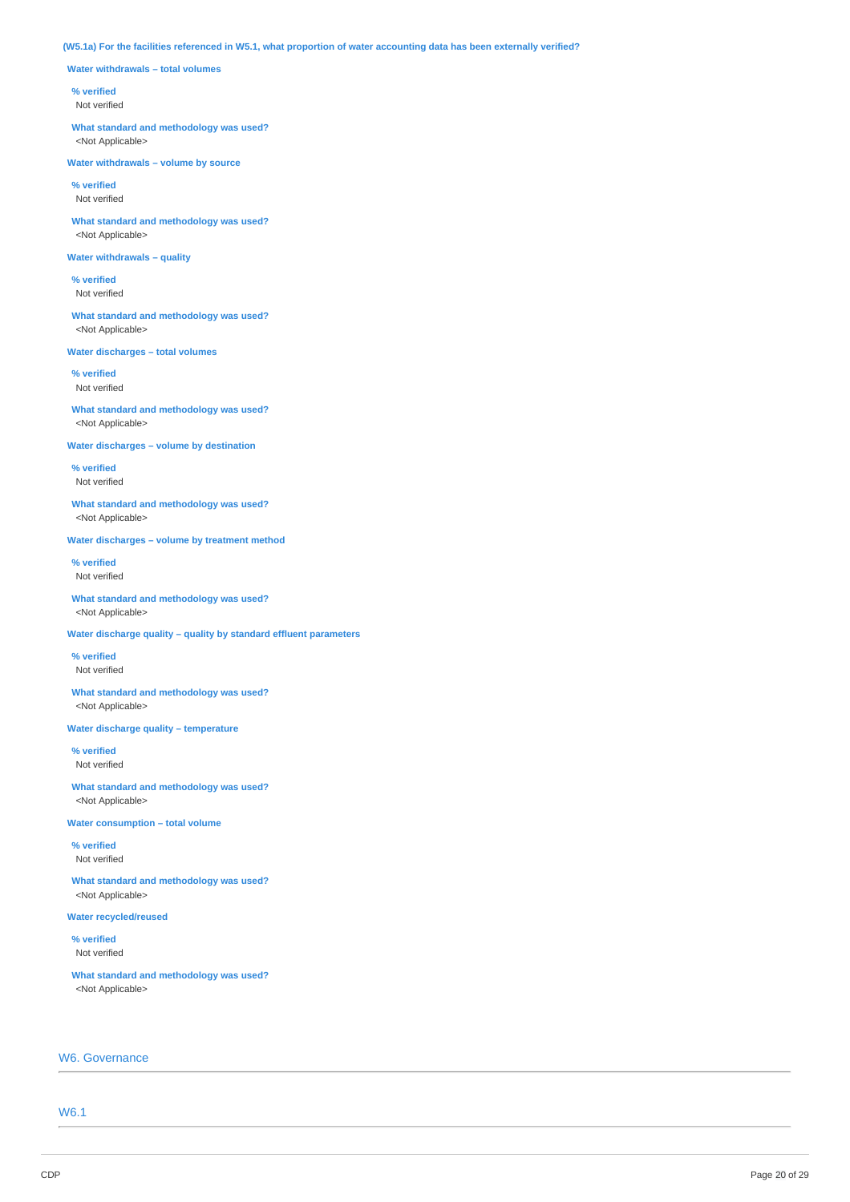# (W5.1a) For the facilities referenced in W5.1, what proportion of water accounting data has been externally verified?

**Water withdrawals – total volumes**

### **% verified**

Not verified

**What standard and methodology was used?** <Not Applicable>

**Water withdrawals – volume by source**

**% verified** Not verified

**What standard and methodology was used?** <Not Applicable>

# **Water withdrawals – quality**

**% verified** Not verified

**What standard and methodology was used?** <Not Applicable>

**Water discharges – total volumes**

**% verified** Not verified

**What standard and methodology was used?** <Not Applicable>

**Water discharges – volume by destination**

**% verified** Not verified

**What standard and methodology was used?** <Not Applicable>

**Water discharges – volume by treatment method**

**% verified** Not verified

**What standard and methodology was used?** <Not Applicable>

**Water discharge quality – quality by standard effluent parameters**

**% verified** Not verified

**What standard and methodology was used?** <Not Applicable>

**Water discharge quality – temperature**

**% verified** Not verified

**What standard and methodology was used?** <Not Applicable>

**Water consumption – total volume**

**% verified** Not verified

**What standard and methodology was used?** <Not Applicable>

**Water recycled/reused**

**% verified** Not verified

**What standard and methodology was used?** <Not Applicable>

# W6. Governance

W6.1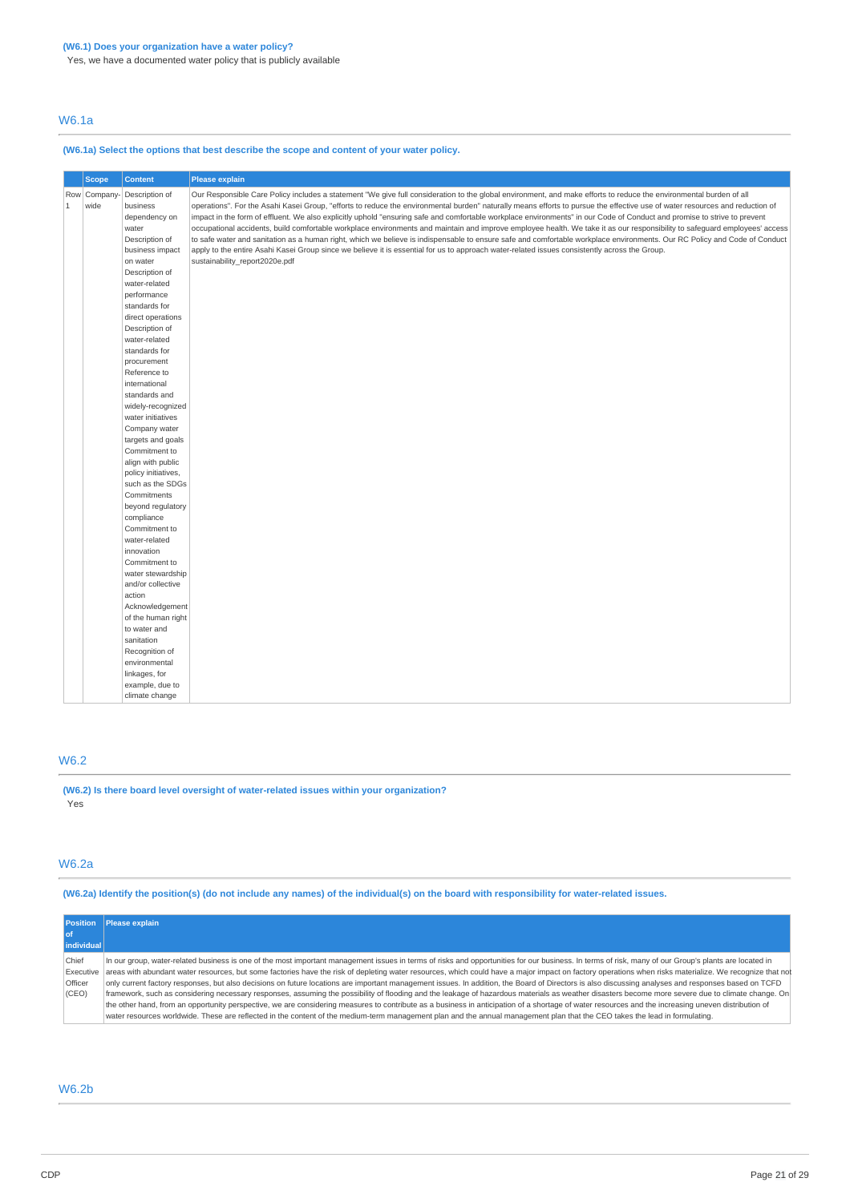Yes, we have a documented water policy that is publicly available

# W6.1a

# **(W6.1a) Select the options that best describe the scope and content of your water policy.**

|             | <b>Scope</b>         | <b>Content</b>                                                                                                    | Please explain                                                                                                                                                                                                                                                                                                                                                                                                                                                                                                                                                                                                                                                                                                                                                                                                                                                                                                                                                                                                                                                               |
|-------------|----------------------|-------------------------------------------------------------------------------------------------------------------|------------------------------------------------------------------------------------------------------------------------------------------------------------------------------------------------------------------------------------------------------------------------------------------------------------------------------------------------------------------------------------------------------------------------------------------------------------------------------------------------------------------------------------------------------------------------------------------------------------------------------------------------------------------------------------------------------------------------------------------------------------------------------------------------------------------------------------------------------------------------------------------------------------------------------------------------------------------------------------------------------------------------------------------------------------------------------|
| $\mathbf 1$ | Row Company-<br>wide | Description of<br>business<br>dependency on<br>water<br>Description of<br>business impact<br>on water             | Our Responsible Care Policy includes a statement "We give full consideration to the global environment, and make efforts to reduce the environmental burden of all<br>operations". For the Asahi Kasei Group, "efforts to reduce the environmental burden" naturally means efforts to pursue the effective use of water resources and reduction of<br>impact in the form of effluent. We also explicitly uphold "ensuring safe and comfortable workplace environments" in our Code of Conduct and promise to strive to prevent<br>occupational accidents, build comfortable workplace environments and maintain and improve employee health. We take it as our responsibility to safeguard employees' access<br>to safe water and sanitation as a human right, which we believe is indispensable to ensure safe and comfortable workplace environments. Our RC Policy and Code of Conduct<br>apply to the entire Asahi Kasei Group since we believe it is essential for us to approach water-related issues consistently across the Group.<br>sustainability report2020e.pdf |
|             |                      | Description of<br>water-related<br>performance<br>standards for<br>direct operations<br>Description of            |                                                                                                                                                                                                                                                                                                                                                                                                                                                                                                                                                                                                                                                                                                                                                                                                                                                                                                                                                                                                                                                                              |
|             |                      | water-related<br>standards for<br>procurement<br>Reference to<br>international                                    |                                                                                                                                                                                                                                                                                                                                                                                                                                                                                                                                                                                                                                                                                                                                                                                                                                                                                                                                                                                                                                                                              |
|             |                      | standards and<br>widely-recognized<br>water initiatives<br>Company water<br>targets and goals                     |                                                                                                                                                                                                                                                                                                                                                                                                                                                                                                                                                                                                                                                                                                                                                                                                                                                                                                                                                                                                                                                                              |
|             |                      | Commitment to<br>align with public<br>policy initiatives,<br>such as the SDGs<br>Commitments<br>beyond regulatory |                                                                                                                                                                                                                                                                                                                                                                                                                                                                                                                                                                                                                                                                                                                                                                                                                                                                                                                                                                                                                                                                              |
|             |                      | compliance<br>Commitment to<br>water-related<br>innovation<br>Commitment to                                       |                                                                                                                                                                                                                                                                                                                                                                                                                                                                                                                                                                                                                                                                                                                                                                                                                                                                                                                                                                                                                                                                              |
|             |                      | water stewardship<br>and/or collective<br>action<br>Acknowledgement<br>of the human right                         |                                                                                                                                                                                                                                                                                                                                                                                                                                                                                                                                                                                                                                                                                                                                                                                                                                                                                                                                                                                                                                                                              |
|             |                      | to water and<br>sanitation<br>Recognition of<br>environmental<br>linkages, for                                    |                                                                                                                                                                                                                                                                                                                                                                                                                                                                                                                                                                                                                                                                                                                                                                                                                                                                                                                                                                                                                                                                              |
|             |                      | example, due to<br>climate change                                                                                 |                                                                                                                                                                                                                                                                                                                                                                                                                                                                                                                                                                                                                                                                                                                                                                                                                                                                                                                                                                                                                                                                              |

# W6.2

**(W6.2) Is there board level oversight of water-related issues within your organization?** Yes

# W6.2a

(W6.2a) Identify the position(s) (do not include any names) of the individual(s) on the board with responsibility for water-related issues.

|            | Position Please explain                                                                                                                                                                                           |
|------------|-------------------------------------------------------------------------------------------------------------------------------------------------------------------------------------------------------------------|
| l of       |                                                                                                                                                                                                                   |
| individual |                                                                                                                                                                                                                   |
| Chief      | In our group, water-related business is one of the most important management issues in terms of risks and opportunities for our business. In terms of risk, many of our Group's plants are located in             |
|            | Executive areas with abundant water resources, but some factories have the risk of depleting water resources, which could have a major impact on factory operations when risks materialize. We recognize that not |
| Officer    | only current factory responses, but also decisions on future locations are important management issues. In addition, the Board of Directors is also discussing analyses and responses based on TCFD               |
| (CEO)      | framework, such as considering necessary responses, assuming the possibility of flooding and the leakage of hazardous materials as weather disasters become more severe due to climate change. On                 |
|            | the other hand, from an opportunity perspective, we are considering measures to contribute as a business in anticipation of a shortage of water resources and the increasing uneven distribution of               |
|            | water resources worldwide. These are reflected in the content of the medium-term management plan and the annual management plan that the CEO takes the lead in formulating.                                       |

# W6.2b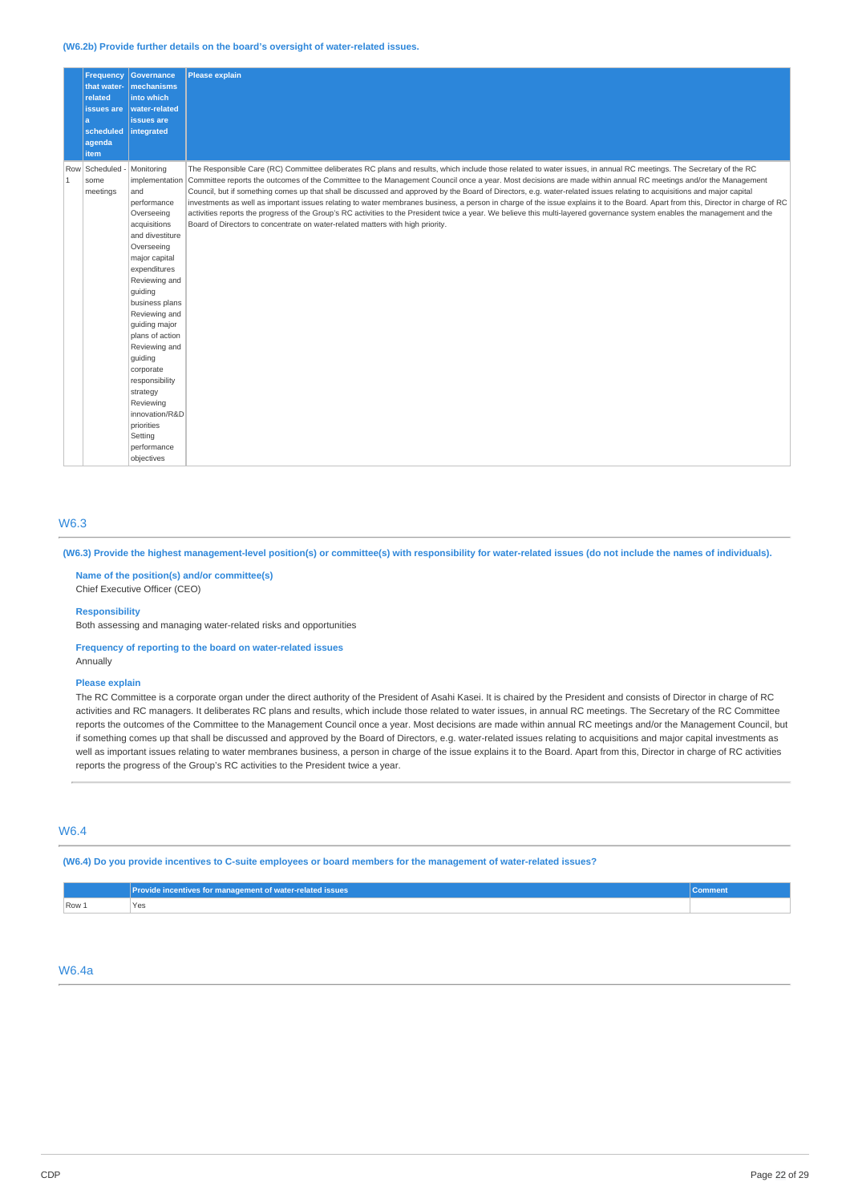### **(W6.2b) Provide further details on the board's oversight of water-related issues.**

|                | <b>Frequency</b><br>that water-<br>related<br>issues are<br>a<br>scheduled<br>agenda<br>item | Governance<br>mechanisms<br>into which<br>water-related<br>issues are<br>integrated                                                                                                                                                                                                                                                                                                             | <b>Please explain</b>                                                                                                                                                                                                                                                                                                                                                                                                                                                                                                                                                                                                                                                                                                                                                                                                                                                                                                                                                              |
|----------------|----------------------------------------------------------------------------------------------|-------------------------------------------------------------------------------------------------------------------------------------------------------------------------------------------------------------------------------------------------------------------------------------------------------------------------------------------------------------------------------------------------|------------------------------------------------------------------------------------------------------------------------------------------------------------------------------------------------------------------------------------------------------------------------------------------------------------------------------------------------------------------------------------------------------------------------------------------------------------------------------------------------------------------------------------------------------------------------------------------------------------------------------------------------------------------------------------------------------------------------------------------------------------------------------------------------------------------------------------------------------------------------------------------------------------------------------------------------------------------------------------|
| $\overline{1}$ | Row Scheduled -<br>some<br>meetings                                                          | Monitoring<br>and<br>performance<br>Overseeing<br>acquisitions<br>and divestiture<br>Overseeing<br>major capital<br>expenditures<br>Reviewing and<br>quiding<br>business plans<br>Reviewing and<br>guiding major<br>plans of action<br>Reviewing and<br>guiding<br>corporate<br>responsibility<br>strategy<br>Reviewing<br>innovation/R&D<br>priorities<br>Setting<br>performance<br>objectives | The Responsible Care (RC) Committee deliberates RC plans and results, which include those related to water issues, in annual RC meetings. The Secretary of the RC<br>implementation Committee reports the outcomes of the Committee to the Management Council once a year. Most decisions are made within annual RC meetings and/or the Management<br>Council, but if something comes up that shall be discussed and approved by the Board of Directors, e.g. water-related issues relating to acquisitions and major capital<br>investments as well as important issues relating to water membranes business, a person in charge of the issue explains it to the Board. Apart from this, Director in charge of RC<br>activities reports the progress of the Group's RC activities to the President twice a year. We believe this multi-layered governance system enables the management and the<br>Board of Directors to concentrate on water-related matters with high priority. |

# W6.3

(W6.3) Provide the highest management-level position(s) or committee(s) with responsibility for water-related issues (do not include the names of individuals).

**Name of the position(s) and/or committee(s)**

Chief Executive Officer (CEO)

**Responsibility**

Both assessing and managing water-related risks and opportunities

# **Frequency of reporting to the board on water-related issues**

Annually

# **Please explain**

The RC Committee is a corporate organ under the direct authority of the President of Asahi Kasei. It is chaired by the President and consists of Director in charge of RC activities and RC managers. It deliberates RC plans and results, which include those related to water issues, in annual RC meetings. The Secretary of the RC Committee reports the outcomes of the Committee to the Management Council once a year. Most decisions are made within annual RC meetings and/or the Management Council, but if something comes up that shall be discussed and approved by the Board of Directors, e.g. water-related issues relating to acquisitions and major capital investments as well as important issues relating to water membranes business, a person in charge of the issue explains it to the Board. Apart from this, Director in charge of RC activities reports the progress of the Group's RC activities to the President twice a year.

# W6.4

(W6.4) Do you provide incentives to C-suite employees or board members for the management of water-related issues?

|       | Provide incentives for management of water-related issues | ommen |
|-------|-----------------------------------------------------------|-------|
| Row 1 | Yes                                                       |       |

# W6.4a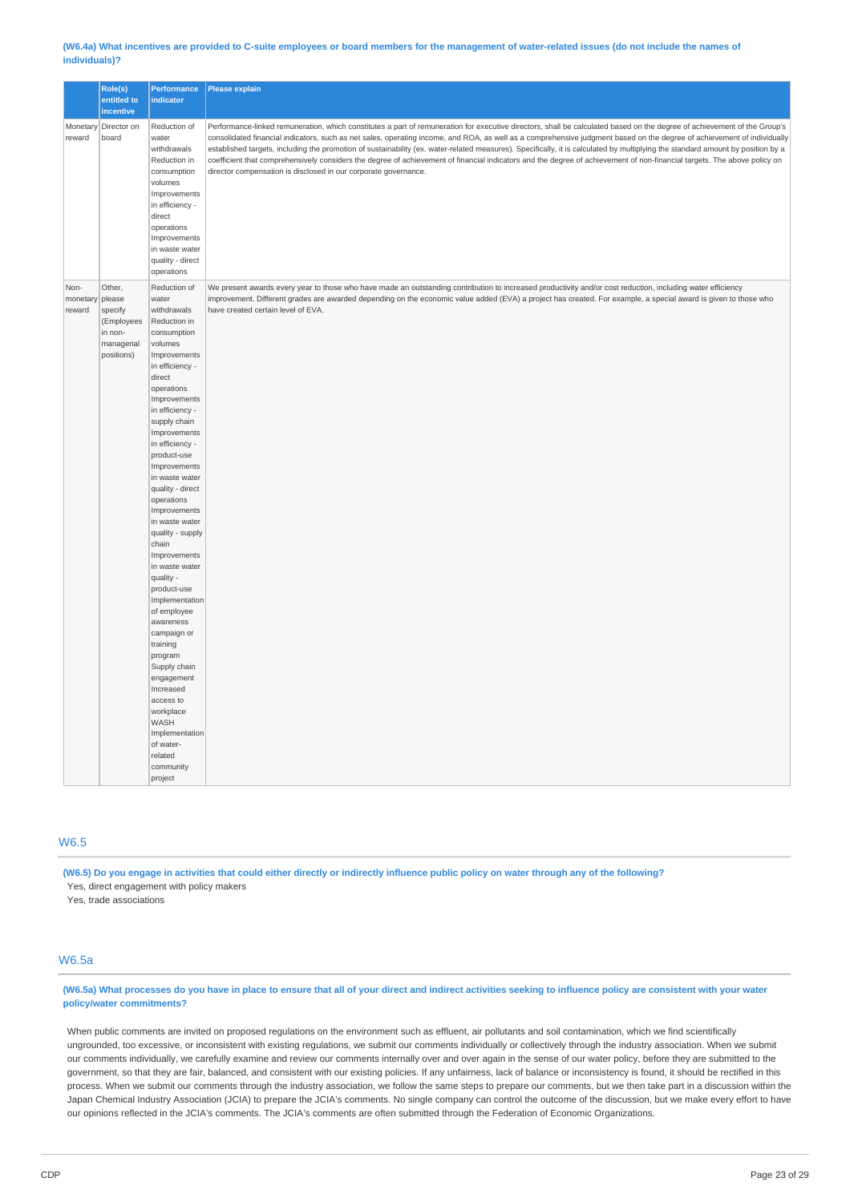### (W6.4a) What incentives are provided to C-suite employees or board members for the management of water-related issues (do not include the names of **individuals)?**

|                            | Role(s)<br>entitled to<br>incentive                                              | <b>Performance</b><br>indicator                                                                                                                                                                                                                                                                                                                                                                                                                                                                                                                                                                                                                                                           | Please explain                                                                                                                                                                                                                                                                                                                                                                                                                                                                                                                                                                                                                                                                                                                                                                        |
|----------------------------|----------------------------------------------------------------------------------|-------------------------------------------------------------------------------------------------------------------------------------------------------------------------------------------------------------------------------------------------------------------------------------------------------------------------------------------------------------------------------------------------------------------------------------------------------------------------------------------------------------------------------------------------------------------------------------------------------------------------------------------------------------------------------------------|---------------------------------------------------------------------------------------------------------------------------------------------------------------------------------------------------------------------------------------------------------------------------------------------------------------------------------------------------------------------------------------------------------------------------------------------------------------------------------------------------------------------------------------------------------------------------------------------------------------------------------------------------------------------------------------------------------------------------------------------------------------------------------------|
| Monetary<br>reward         | Director on<br>board                                                             | Reduction of<br>water<br>withdrawals<br>Reduction in<br>consumption<br>volumes<br>Improvements<br>in efficiency -<br>direct<br>operations<br>Improvements<br>in waste water<br>quality - direct<br>operations                                                                                                                                                                                                                                                                                                                                                                                                                                                                             | Performance-linked remuneration, which constitutes a part of remuneration for executive directors, shall be calculated based on the degree of achievement of the Group's<br>consolidated financial indicators, such as net sales, operating income, and ROA, as well as a comprehensive judgment based on the degree of achievement of individually<br>established targets, including the promotion of sustainability (ex. water-related measures). Specifically, it is calculated by multiplying the standard amount by position by a<br>coefficient that comprehensively considers the degree of achievement of financial indicators and the degree of achievement of non-financial targets. The above policy on<br>director compensation is disclosed in our corporate governance. |
| Non-<br>monetary<br>reward | Other,<br>please<br>specify<br>(Employees<br>in non-<br>managerial<br>positions) | Reduction of<br>water<br>withdrawals<br>Reduction in<br>consumption<br>volumes<br>Improvements<br>in efficiency -<br>direct<br>operations<br>Improvements<br>in efficiency -<br>supply chain<br>Improvements<br>in efficiency -<br>product-use<br>Improvements<br>in waste water<br>quality - direct<br>operations<br>Improvements<br>in waste water<br>quality - supply<br>chain<br>Improvements<br>in waste water<br>quality -<br>product-use<br>Implementation<br>of employee<br>awareness<br>campaign or<br>training<br>program<br>Supply chain<br>engagement<br>Increased<br>access to<br>workplace<br><b>WASH</b><br>Implementation<br>of water-<br>related<br>community<br>project | We present awards every year to those who have made an outstanding contribution to increased productivity and/or cost reduction, including water efficiency<br>improvement. Different grades are awarded depending on the economic value added (EVA) a project has created. For example, a special award is given to those who<br>have created certain level of EVA.                                                                                                                                                                                                                                                                                                                                                                                                                  |

# W6.5

(W6.5) Do you engage in activities that could either directly or indirectly influence public policy on water through any of the following?

Yes, direct engagement with policy makers

Yes, trade associations

# W6.5a

# (W6.5a) What processes do you have in place to ensure that all of your direct and indirect activities seeking to influence policy are consistent with your water **policy/water commitments?**

When public comments are invited on proposed regulations on the environment such as effluent, air pollutants and soil contamination, which we find scientifically ungrounded, too excessive, or inconsistent with existing regulations, we submit our comments individually or collectively through the industry association. When we submit our comments individually, we carefully examine and review our comments internally over and over again in the sense of our water policy, before they are submitted to the government, so that they are fair, balanced, and consistent with our existing policies. If any unfairness, lack of balance or inconsistency is found, it should be rectified in this process. When we submit our comments through the industry association, we follow the same steps to prepare our comments, but we then take part in a discussion within the Japan Chemical Industry Association (JCIA) to prepare the JCIA's comments. No single company can control the outcome of the discussion, but we make every effort to have our opinions reflected in the JCIA's comments. The JCIA's comments are often submitted through the Federation of Economic Organizations.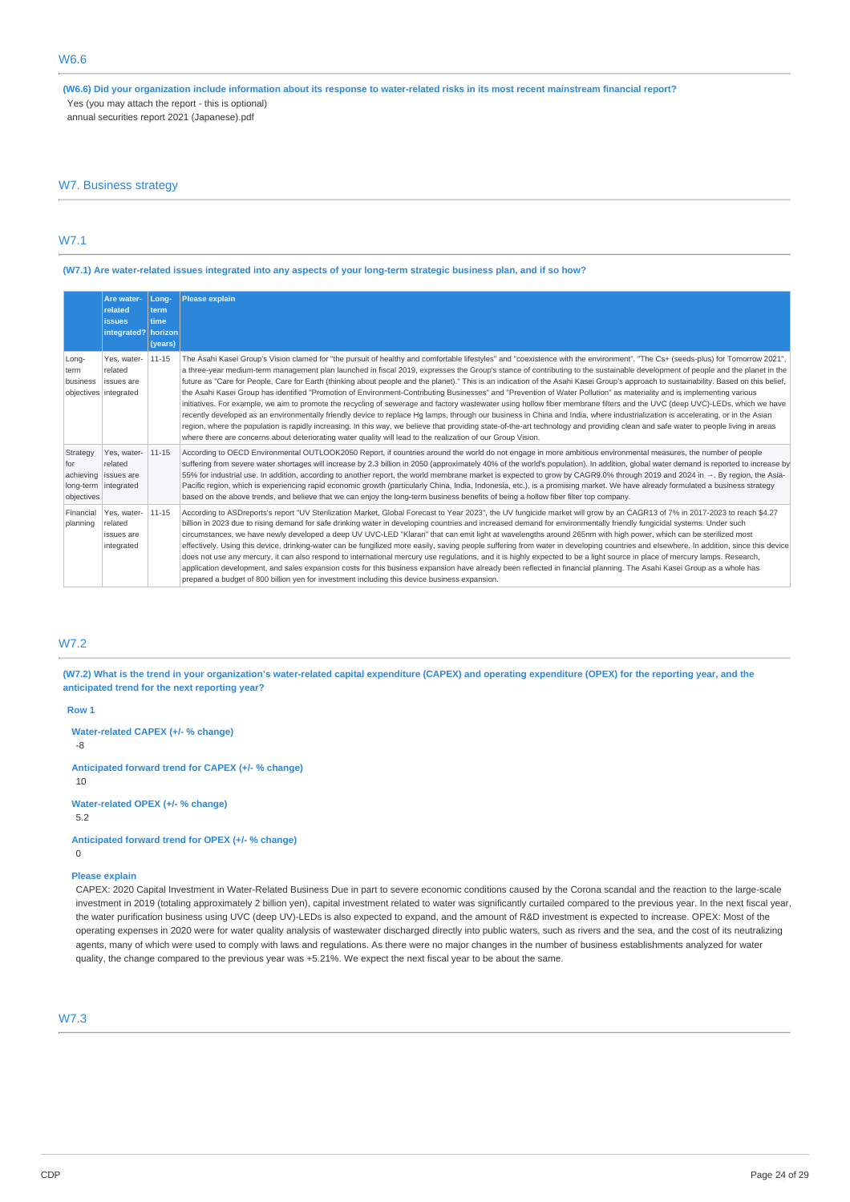(W6.6) Did your organization include information about its response to water-related risks in its most recent mainstream financial report? Yes (you may attach the report - this is optional)

annual securities report 2021 (Japanese).pdf

# W7. Business strategy

# W7.1

# (W7.1) Are water-related issues integrated into any aspects of your long-term strategic business plan, and if so how?

|                               | Are water-<br>related<br><b>issues</b><br>integrated? horizon          | Long-<br>term<br>time<br>(years) | <b>Please explain</b>                                                                                                                                                                                                                                                                                                                                                                                                                                                                                                                                                                                                                                                                                                                                                                                                                                                                                                                                                                                                                                                                                                                                                                                                                                                                                                                                                                                         |
|-------------------------------|------------------------------------------------------------------------|----------------------------------|---------------------------------------------------------------------------------------------------------------------------------------------------------------------------------------------------------------------------------------------------------------------------------------------------------------------------------------------------------------------------------------------------------------------------------------------------------------------------------------------------------------------------------------------------------------------------------------------------------------------------------------------------------------------------------------------------------------------------------------------------------------------------------------------------------------------------------------------------------------------------------------------------------------------------------------------------------------------------------------------------------------------------------------------------------------------------------------------------------------------------------------------------------------------------------------------------------------------------------------------------------------------------------------------------------------------------------------------------------------------------------------------------------------|
| Long-<br>term<br>business     | Yes, water-<br>related<br><b>issues</b> are<br>objectives integrated   | 11-15                            | The Asahi Kasei Group's Vision clamed for "the pursuit of healthy and comfortable lifestyles" and "coexistence with the environment". "The Cs+ (seeds-plus) for Tomorrow 2021",<br>a three-year medium-term management plan launched in fiscal 2019, expresses the Group's stance of contributing to the sustainable development of people and the planet in the<br>future as "Care for People, Care for Earth (thinking about people and the planet)." This is an indication of the Asahi Kasei Group's approach to sustainability. Based on this belief,<br>the Asahi Kasei Group has identified "Promotion of Environment-Contributing Businesses" and "Prevention of Water Pollution" as materiality and is implementing various<br>initiatives. For example, we aim to promote the recycling of sewerage and factory wastewater using hollow fiber membrane filters and the UVC (deep UVC)-LEDs, which we have<br>recently developed as an environmentally friendly device to replace Hg lamps, through our business in China and India, where industrialization is accelerating, or in the Asian<br>region, where the population is rapidly increasing. In this way, we believe that providing state-of-the-art technology and providing clean and safe water to people living in areas<br>where there are concerns about deteriorating water quality will lead to the realization of our Group Vision. |
| Strategy<br>for<br>objectives | Yes, water-<br>related<br>achieving issues are<br>long-term integrated | $11 - 15$                        | According to OECD Environmental OUTLOOK2050 Report, if countries around the world do not engage in more ambitious environmental measures, the number of people<br>suffering from severe water shortages will increase by 2.3 billion in 2050 (approximately 40% of the world's population). In addition, global water demand is reported to increase by<br>55% for industrial use. In addition, according to another report, the world membrane market is expected to grow by CAGR9.0% through 2019 and 2024 in →. By region, the Asia-<br>Pacific region, which is experiencing rapid economic growth (particularly China, India, Indonesia, etc.), is a promising market. We have already formulated a business strategy<br>based on the above trends, and believe that we can enjoy the long-term business benefits of being a hollow fiber filter top company.                                                                                                                                                                                                                                                                                                                                                                                                                                                                                                                                            |
| Financial<br>planning         | Yes, water-<br>related<br>issues are<br>integrated                     | $11 - 15$                        | According to ASDreports's report "UV Sterilization Market, Global Forecast to Year 2023", the UV fungicide market will grow by an CAGR13 of 7% in 2017-2023 to reach \$4.27<br>billion in 2023 due to rising demand for safe drinking water in developing countries and increased demand for environmentally friendly fungicidal systems. Under such<br>circumstances, we have newly developed a deep UV UVC-LED "Klaran" that can emit light at wavelengths around 265nm with high power, which can be sterilized most<br>effectively. Using this device, drinking-water can be fungilized more easily, saving people suffering from water in developing countries and elsewhere. In addition, since this device<br>does not use any mercury, it can also respond to international mercury use regulations, and it is highly expected to be a light source in place of mercury lamps. Research,<br>application development, and sales expansion costs for this business expansion have already been reflected in financial planning. The Asahi Kasei Group as a whole has<br>prepared a budget of 800 billion yen for investment including this device business expansion.                                                                                                                                                                                                                                   |

# W7.2

(W7.2) What is the trend in your organization's water-related capital expenditure (CAPEX) and operating expenditure (OPEX) for the reporting year, and the **anticipated trend for the next reporting year?**

### **Row 1**

```
Water-related CAPEX (+/- % change)
```
-8

**Anticipated forward trend for CAPEX (+/- % change)**

10

**Water-related OPEX (+/- % change)**

```
5.2
```
**Anticipated forward trend for OPEX (+/- % change)** 0

# **Please explain**

CAPEX: 2020 Capital Investment in Water-Related Business Due in part to severe economic conditions caused by the Corona scandal and the reaction to the large-scale investment in 2019 (totaling approximately 2 billion yen), capital investment related to water was significantly curtailed compared to the previous year. In the next fiscal year, the water purification business using UVC (deep UV)-LEDs is also expected to expand, and the amount of R&D investment is expected to increase. OPEX: Most of the operating expenses in 2020 were for water quality analysis of wastewater discharged directly into public waters, such as rivers and the sea, and the cost of its neutralizing agents, many of which were used to comply with laws and regulations. As there were no major changes in the number of business establishments analyzed for water quality, the change compared to the previous year was +5.21%. We expect the next fiscal year to be about the same.

# W7.3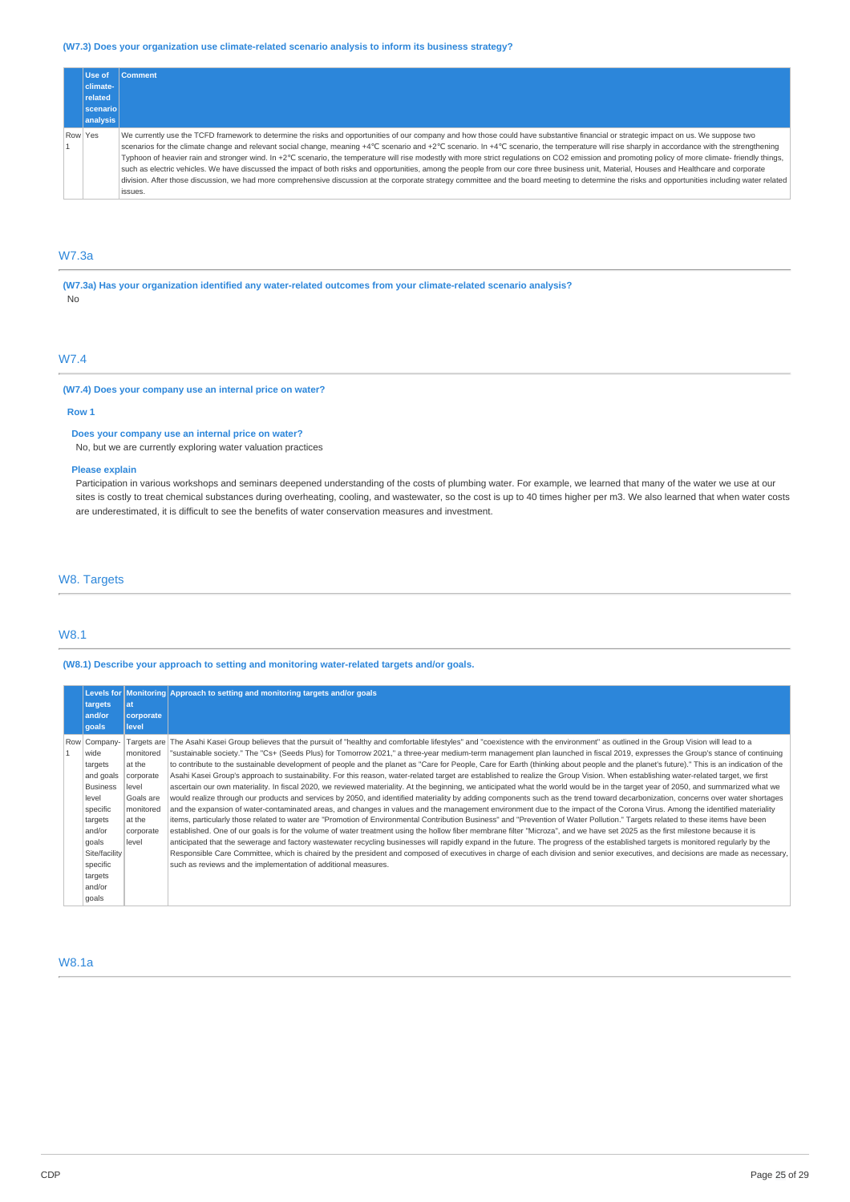# **(W7.3) Does your organization use climate-related scenario analysis to inform its business strategy?**

| Use of          | <b>Comment</b>                                                                                                                                                                                                                                                                                                                                                                                                                                                                                                                                                                                                                                                                                                                                                                                                                                                                                                                                                                                              |
|-----------------|-------------------------------------------------------------------------------------------------------------------------------------------------------------------------------------------------------------------------------------------------------------------------------------------------------------------------------------------------------------------------------------------------------------------------------------------------------------------------------------------------------------------------------------------------------------------------------------------------------------------------------------------------------------------------------------------------------------------------------------------------------------------------------------------------------------------------------------------------------------------------------------------------------------------------------------------------------------------------------------------------------------|
| climate-        |                                                                                                                                                                                                                                                                                                                                                                                                                                                                                                                                                                                                                                                                                                                                                                                                                                                                                                                                                                                                             |
| related         |                                                                                                                                                                                                                                                                                                                                                                                                                                                                                                                                                                                                                                                                                                                                                                                                                                                                                                                                                                                                             |
| <b>scenario</b> |                                                                                                                                                                                                                                                                                                                                                                                                                                                                                                                                                                                                                                                                                                                                                                                                                                                                                                                                                                                                             |
| analysis        |                                                                                                                                                                                                                                                                                                                                                                                                                                                                                                                                                                                                                                                                                                                                                                                                                                                                                                                                                                                                             |
| Row Yes         | We currently use the TCFD framework to determine the risks and opportunities of our company and how those could have substantive financial or strategic impact on us. We suppose two<br>scenarios for the climate change and relevant social change, meaning +4°C scenario and +2°C scenario. In +4°C scenario, the temperature will rise sharply in accordance with the strengthening<br>Typhoon of heavier rain and stronger wind. In +2°C scenario, the temperature will rise modestly with more strict regulations on CO2 emission and promoting policy of more climate- friendly things,<br>such as electric vehicles. We have discussed the impact of both risks and opportunities, among the people from our core three business unit, Material, Houses and Healthcare and corporate<br>division. After those discussion, we had more comprehensive discussion at the corporate strategy committee and the board meeting to determine the risks and opportunities including water related<br>issues. |

# W7.3a

**(W7.3a) Has your organization identified any water-related outcomes from your climate-related scenario analysis?** No

# W7.4

# **(W7.4) Does your company use an internal price on water?**

### **Row 1**

**Does your company use an internal price on water?** No, but we are currently exploring water valuation practices

### **Please explain**

Participation in various workshops and seminars deepened understanding of the costs of plumbing water. For example, we learned that many of the water we use at our sites is costly to treat chemical substances during overheating, cooling, and wastewater, so the cost is up to 40 times higher per m3. We also learned that when water costs are underestimated, it is difficult to see the benefits of water conservation measures and investment.

# W8. Targets

# W8.1

# **(W8.1) Describe your approach to setting and monitoring water-related targets and/or goals.**

|  |                                                                                                                                                                      |                                                                                                     | Levels for Monitoring Approach to setting and monitoring targets and/or goals                                                                                                                                                                                                                                                                                                                                                                                                                                                                                                                                                                                                                                                                                                                                                                                                                                                                                                                                                                                                                                                                                                                                                                                                                                                                                                                                                                                                                                                                                                                                                                                                                                                                                                                                                                                                                                                                                                                                                                                                                                                           |  |
|--|----------------------------------------------------------------------------------------------------------------------------------------------------------------------|-----------------------------------------------------------------------------------------------------|-----------------------------------------------------------------------------------------------------------------------------------------------------------------------------------------------------------------------------------------------------------------------------------------------------------------------------------------------------------------------------------------------------------------------------------------------------------------------------------------------------------------------------------------------------------------------------------------------------------------------------------------------------------------------------------------------------------------------------------------------------------------------------------------------------------------------------------------------------------------------------------------------------------------------------------------------------------------------------------------------------------------------------------------------------------------------------------------------------------------------------------------------------------------------------------------------------------------------------------------------------------------------------------------------------------------------------------------------------------------------------------------------------------------------------------------------------------------------------------------------------------------------------------------------------------------------------------------------------------------------------------------------------------------------------------------------------------------------------------------------------------------------------------------------------------------------------------------------------------------------------------------------------------------------------------------------------------------------------------------------------------------------------------------------------------------------------------------------------------------------------------------|--|
|  | targets<br>and/or<br>qoals                                                                                                                                           | lat<br>corporate<br>level                                                                           |                                                                                                                                                                                                                                                                                                                                                                                                                                                                                                                                                                                                                                                                                                                                                                                                                                                                                                                                                                                                                                                                                                                                                                                                                                                                                                                                                                                                                                                                                                                                                                                                                                                                                                                                                                                                                                                                                                                                                                                                                                                                                                                                         |  |
|  | Row Company-<br>wide<br>targets<br>and goals<br><b>Business</b><br>level<br>specific<br>targets<br>and/or<br>qoals<br>Site/facility<br>specific<br>targets<br>and/or | monitored<br>at the<br>corporate<br>level<br>Goals are<br>monitored<br>at the<br>corporate<br>level | Targets are The Asahi Kasei Group believes that the pursuit of "healthy and comfortable lifestyles" and "coexistence with the environment" as outlined in the Group Vision will lead to a<br>"sustainable society." The "Cs+ (Seeds Plus) for Tomorrow 2021," a three-year medium-term management plan launched in fiscal 2019, expresses the Group's stance of continuing<br>to contribute to the sustainable development of people and the planet as "Care for People, Care for Earth (thinking about people and the planet's future)." This is an indication of the<br>Asahi Kasei Group's approach to sustainability. For this reason, water-related target are established to realize the Group Vision. When establishing water-related target, we first<br>ascertain our own materiality. In fiscal 2020, we reviewed materiality. At the beginning, we anticipated what the world would be in the target year of 2050, and summarized what we<br>would realize through our products and services by 2050, and identified materiality by adding components such as the trend toward decarbonization, concerns over water shortages<br>and the expansion of water-contaminated areas, and changes in values and the management environment due to the impact of the Corona Virus. Among the identified materiality<br>items, particularly those related to water are "Promotion of Environmental Contribution Business" and "Prevention of Water Pollution." Targets related to these items have been<br>established. One of our goals is for the volume of water treatment using the hollow fiber membrane filter "Microza", and we have set 2025 as the first milestone because it is<br>anticipated that the sewerage and factory wastewater recycling businesses will rapidly expand in the future. The progress of the established targets is monitored regularly by the<br>Responsible Care Committee, which is chaired by the president and composed of executives in charge of each division and senior executives, and decisions are made as necessary,<br>such as reviews and the implementation of additional measures. |  |
|  | goals                                                                                                                                                                |                                                                                                     |                                                                                                                                                                                                                                                                                                                                                                                                                                                                                                                                                                                                                                                                                                                                                                                                                                                                                                                                                                                                                                                                                                                                                                                                                                                                                                                                                                                                                                                                                                                                                                                                                                                                                                                                                                                                                                                                                                                                                                                                                                                                                                                                         |  |

# W8.1a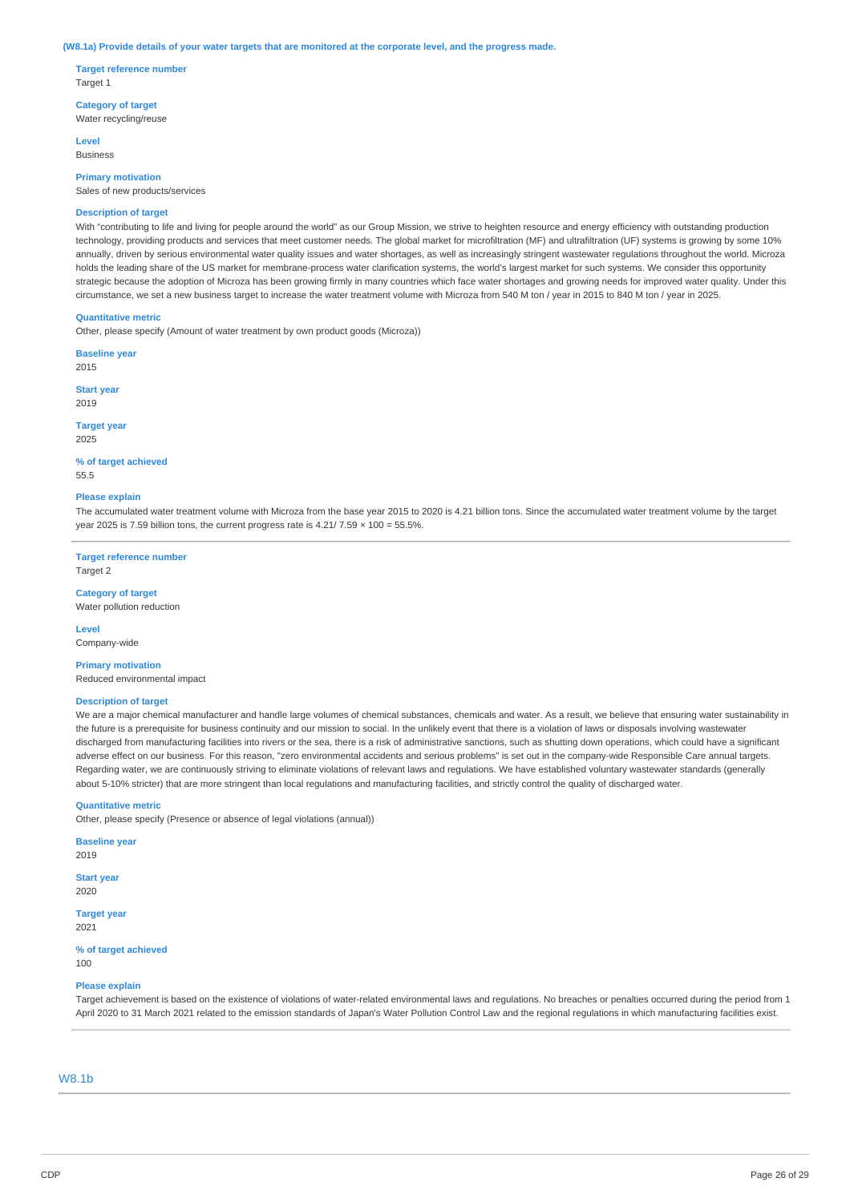#### (W8.1a) Provide details of your water targets that are monitored at the corporate level, and the progress made.

**Target reference number** Target 1

**Category of target** Water recycling/reuse

**Level** Business

**Primary motivation** Sales of new products/services

# **Description of target**

With "contributing to life and living for people around the world" as our Group Mission, we strive to heighten resource and energy efficiency with outstanding production technology, providing products and services that meet customer needs. The global market for microfiltration (MF) and ultrafiltration (UF) systems is growing by some 10% annually, driven by serious environmental water quality issues and water shortages, as well as increasingly stringent wastewater regulations throughout the world. Microza holds the leading share of the US market for membrane-process water clarification systems, the world's largest market for such systems. We consider this opportunity strategic because the adoption of Microza has been growing firmly in many countries which face water shortages and growing needs for improved water quality. Under this circumstance, we set a new business target to increase the water treatment volume with Microza from 540 M ton / year in 2015 to 840 M ton / year in 2025.

### **Quantitative metric**

Other, please specify (Amount of water treatment by own product goods (Microza))

**Baseline year** 2015

**Start year**

2019

**Target year** 2025

#### **% of target achieved** 55.5

#### **Please explain**

The accumulated water treatment volume with Microza from the base year 2015 to 2020 is 4.21 billion tons. Since the accumulated water treatment volume by the target year 2025 is 7.59 billion tons, the current progress rate is  $4.21/7.59 \times 100 = 55.5\%$ .

**Target reference number** Target 2

# **Category of target**

Water pollution reduction

**Level** Company-wide

# **Primary motivation**

Reduced environmental impact

#### **Description of target**

We are a major chemical manufacturer and handle large volumes of chemical substances, chemicals and water. As a result, we believe that ensuring water sustainability in the future is a prerequisite for business continuity and our mission to social. In the unlikely event that there is a violation of laws or disposals involving wastewater discharged from manufacturing facilities into rivers or the sea, there is a risk of administrative sanctions, such as shutting down operations, which could have a significant adverse effect on our business. For this reason, "zero environmental accidents and serious problems" is set out in the company-wide Responsible Care annual targets. Regarding water, we are continuously striving to eliminate violations of relevant laws and regulations. We have established voluntary wastewater standards (generally about 5-10% stricter) that are more stringent than local regulations and manufacturing facilities, and strictly control the quality of discharged water.

### **Quantitative metric**

Other, please specify (Presence or absence of legal violations (annual))

**Baseline year**

2019

**Start year** 2020

**Target year**

2021

**% of target achieved** 100

### **Please explain**

Target achievement is based on the existence of violations of water-related environmental laws and regulations. No breaches or penalties occurred during the period from 1 April 2020 to 31 March 2021 related to the emission standards of Japan's Water Pollution Control Law and the regional regulations in which manufacturing facilities exist.

# W8.1b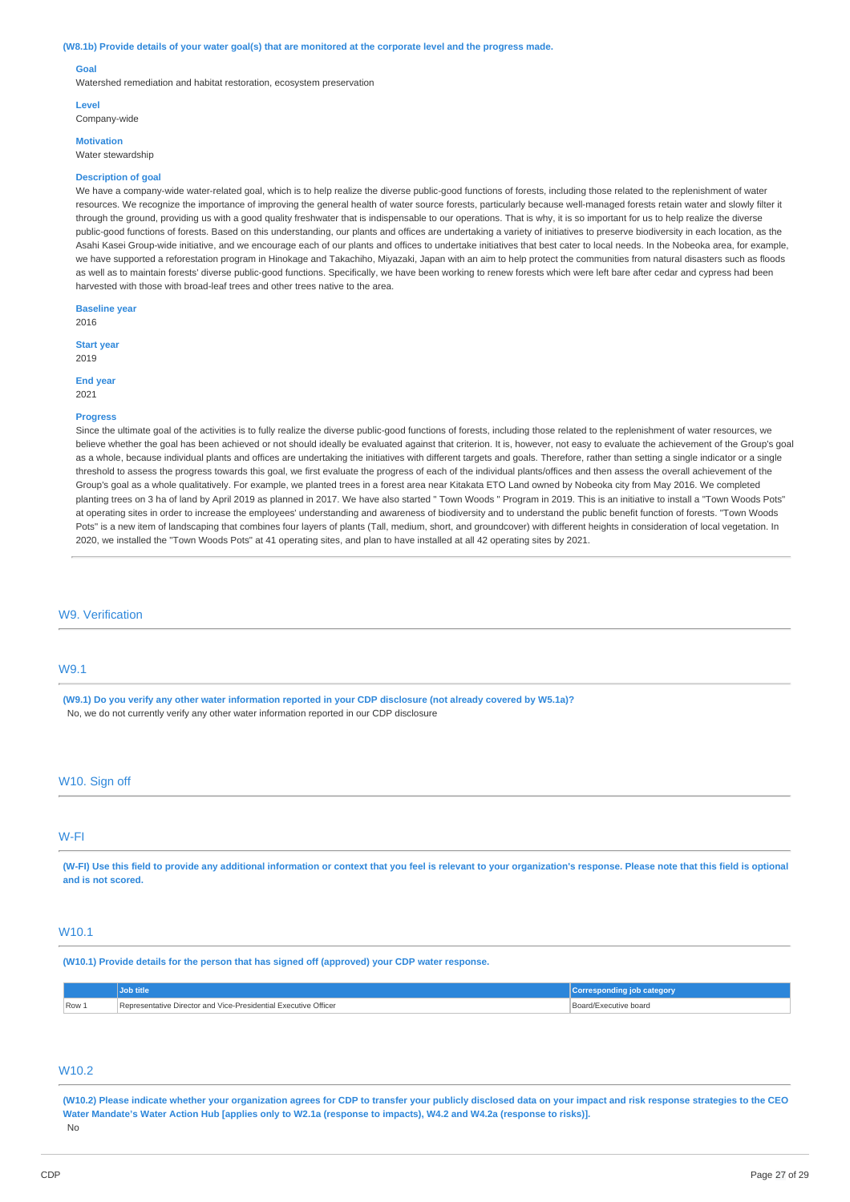#### (W8.1b) Provide details of your water goal(s) that are monitored at the corporate level and the progress made.

#### **Goal**

Watershed remediation and habitat restoration, ecosystem preservation

#### **Level**

Company-wide

**Motivation** Water stewardship

#### **Description of goal**

We have a company-wide water-related goal, which is to help realize the diverse public-good functions of forests, including those related to the replenishment of water resources. We recognize the importance of improving the general health of water source forests, particularly because well-managed forests retain water and slowly filter it through the ground, providing us with a good quality freshwater that is indispensable to our operations. That is why, it is so important for us to help realize the diverse public-good functions of forests. Based on this understanding, our plants and offices are undertaking a variety of initiatives to preserve biodiversity in each location, as the Asahi Kasei Group-wide initiative, and we encourage each of our plants and offices to undertake initiatives that best cater to local needs. In the Nobeoka area, for example, we have supported a reforestation program in Hinokage and Takachiho, Miyazaki, Japan with an aim to help protect the communities from natural disasters such as floods as well as to maintain forests' diverse public-good functions. Specifically, we have been working to renew forests which were left bare after cedar and cypress had been harvested with those with broad-leaf trees and other trees native to the area.

**Baseline year** 2016

**Start year**

End **year** 2021

2019

#### **Progress**

Since the ultimate goal of the activities is to fully realize the diverse public-good functions of forests, including those related to the replenishment of water resources, we believe whether the goal has been achieved or not should ideally be evaluated against that criterion. It is, however, not easy to evaluate the achievement of the Group's goal as a whole, because individual plants and offices are undertaking the initiatives with different targets and goals. Therefore, rather than setting a single indicator or a single threshold to assess the progress towards this goal, we first evaluate the progress of each of the individual plants/offices and then assess the overall achievement of the Group's goal as a whole qualitatively. For example, we planted trees in a forest area near Kitakata ETO Land owned by Nobeoka city from May 2016. We completed planting trees on 3 ha of land by April 2019 as planned in 2017. We have also started " Town Woods " Program in 2019. This is an initiative to install a "Town Woods Pots" at operating sites in order to increase the employees' understanding and awareness of biodiversity and to understand the public benefit function of forests. "Town Woods Pots" is a new item of landscaping that combines four layers of plants (Tall, medium, short, and groundcover) with different heights in consideration of local vegetation. In 2020, we installed the "Town Woods Pots" at 41 operating sites, and plan to have installed at all 42 operating sites by 2021.

# W9. Verification

# W9.1

(W9.1) Do you verify any other water information reported in your CDP disclosure (not already covered by W5.1a)? No, we do not currently verify any other water information reported in our CDP disclosure

### W10. Sign off

# W-FI

(W-FI) Use this field to provide any additional information or context that you feel is relevant to your organization's response. Please note that this field is optional **and is not scored.**

# W10.1

**(W10.1) Provide details for the person that has signed off (approved) your CDP water response.**

|       | <b>Job title</b>                                                | <b>Corresponding job category</b> |
|-------|-----------------------------------------------------------------|-----------------------------------|
| Row 1 | Representative Director and Vice-Presidential Executive Officer | Board/Executive board             |

# W<sub>10.2</sub>

(W10.2) Please indicate whether your organization agrees for CDP to transfer your publicly disclosed data on your impact and risk response strategies to the CEO Water Mandate's Water Action Hub [applies only to W2.1a (response to impacts), W4.2 and W4.2a (response to risks)]. No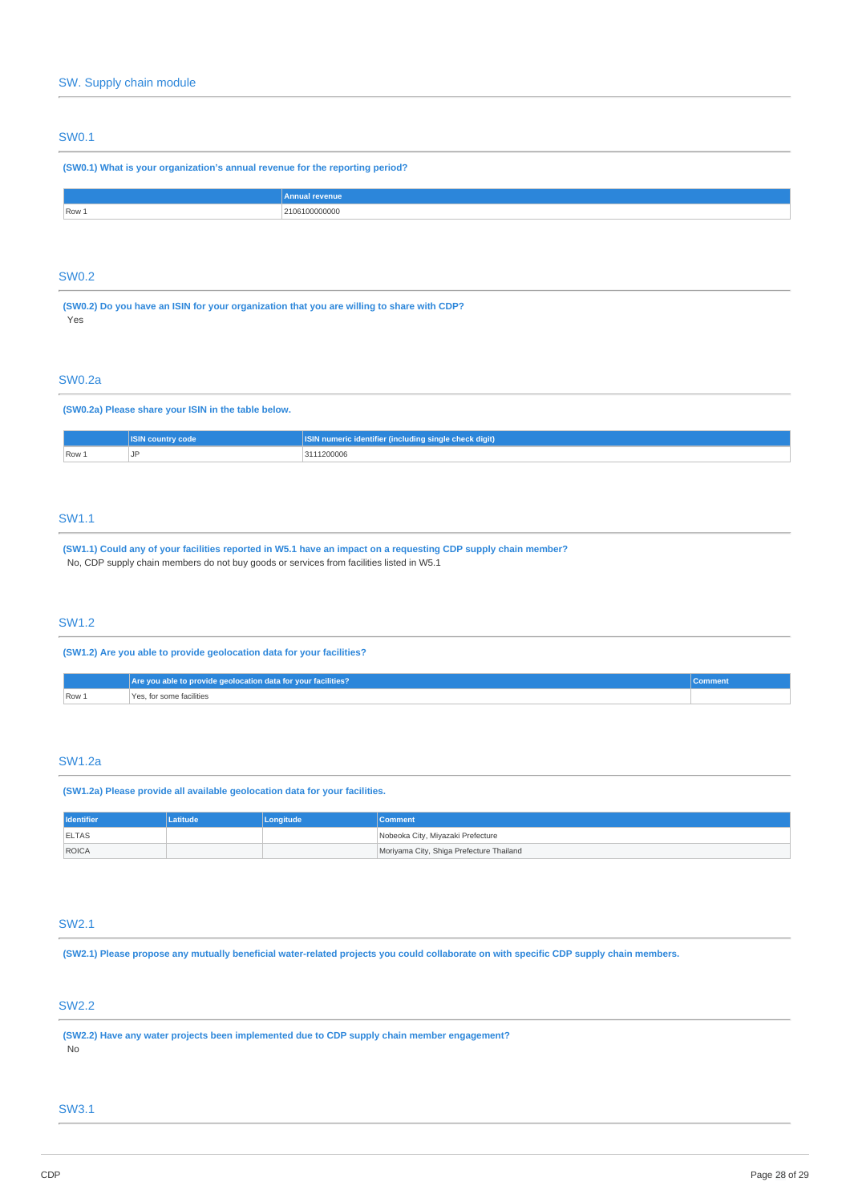# SW0.1

# **(SW0.1) What is your organization's annual revenue for the reporting period?**

|     | mnus<br> |
|-----|----------|
| ROW |          |
|     |          |

# SW0.2

**(SW0.2) Do you have an ISIN for your organization that you are willing to share with CDP?** Yes

### SW0.2a

# **(SW0.2a) Please share your ISIN in the table below.**

|       | <b>ASIN country</b><br>code. | dentifier (including single check digit) \<br>ume |  |
|-------|------------------------------|---------------------------------------------------|--|
| Row 1 | 1D                           | 2111200006                                        |  |

# SW1.1

(SW1.1) Could any of your facilities reported in W5.1 have an impact on a requesting CDP supply chain member? No, CDP supply chain members do not buy goods or services from facilities listed in W5.1

# SW1.2

**(SW1.2) Are you able to provide geolocation data for your facilities?**

|       | Are you able to provide geolocation data for your facilities? |  |  |
|-------|---------------------------------------------------------------|--|--|
| Row 1 | Yes, for some facilities                                      |  |  |

### SW1.2a

**(SW1.2a) Please provide all available geolocation data for your facilities.**

| <b>Identifier</b> | ıtitude | Longitude | <b>Comment</b>                           |
|-------------------|---------|-----------|------------------------------------------|
| <b>ELTAS</b>      |         |           | Nobeoka City, Miyazaki Prefecture        |
| ROICA             |         |           | Moriyama City, Shiga Prefecture Thailand |

# SW2.1

(SW2.1) Please propose any mutually beneficial water-related projects you could collaborate on with specific CDP supply chain members.

# SW2.2

**(SW2.2) Have any water projects been implemented due to CDP supply chain member engagement?** No

### SW3.1